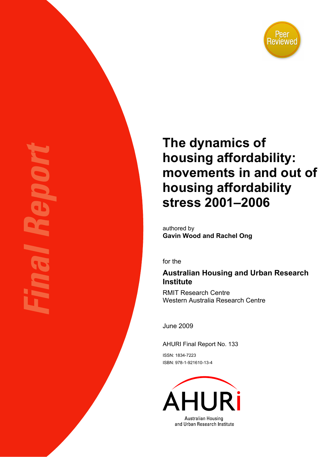

# **The dynamics of housing affordability: movements in and out of housing affordability stress 2001–2006**

authored by **Gavin Wood and Rachel Ong** 

for the

## **Australian Housing and Urban Research Institute**

RMIT Research Centre Western Australia Research Centre

June 2009

AHURI Final Report No. 133

ISSN: 1834-7223 ISBN: 978-1-921610-13-4

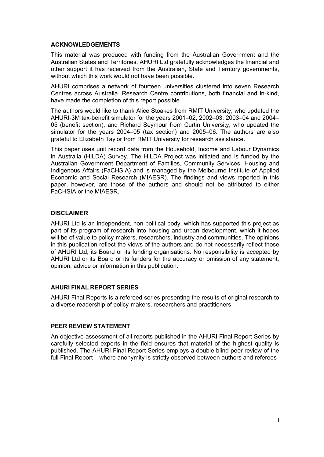#### **ACKNOWLEDGEMENTS**

This material was produced with funding from the Australian Government and the Australian States and Territories. AHURI Ltd gratefully acknowledges the financial and other support it has received from the Australian, State and Territory governments, without which this work would not have been possible.

AHURI comprises a network of fourteen universities clustered into seven Research Centres across Australia. Research Centre contributions, both financial and in-kind, have made the completion of this report possible.

The authors would like to thank Alice Stoakes from RMIT University, who updated the AHURI-3M tax-benefit simulator for the years 2001–02, 2002–03, 2003–04 and 2004– 05 (benefit section), and Richard Seymour from Curtin University, who updated the simulator for the years 2004–05 (tax section) and 2005–06. The authors are also grateful to Elizabeth Taylor from RMIT University for research assistance.

This paper uses unit record data from the Household, Income and Labour Dynamics in Australia (HILDA) Survey. The HILDA Project was initiated and is funded by the Australian Government Department of Families, Community Services, Housing and Indigenous Affairs (FaCHSIA) and is managed by the Melbourne Institute of Applied Economic and Social Research (MIAESR). The findings and views reported in this paper, however, are those of the authors and should not be attributed to either FaCHSIA or the MIAESR.

#### **DISCLAIMER**

AHURI Ltd is an independent, non-political body, which has supported this project as part of its program of research into housing and urban development, which it hopes will be of value to policy-makers, researchers, industry and communities. The opinions in this publication reflect the views of the authors and do not necessarily reflect those of AHURI Ltd, its Board or its funding organisations. No responsibility is accepted by AHURI Ltd or its Board or its funders for the accuracy or omission of any statement, opinion, advice or information in this publication.

#### **AHURI FINAL REPORT SERIES**

AHURI Final Reports is a refereed series presenting the results of original research to a diverse readership of policy-makers, researchers and practitioners.

#### **PEER REVIEW STATEMENT**

An objective assessment of all reports published in the AHURI Final Report Series by carefully selected experts in the field ensures that material of the highest quality is published. The AHURI Final Report Series employs a double-blind peer review of the full Final Report – where anonymity is strictly observed between authors and referees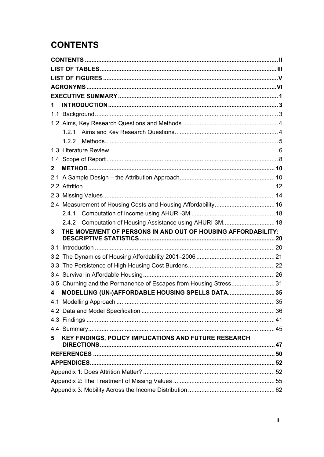## <span id="page-2-0"></span>**CONTENTS**

| 1   |                                                                   |  |
|-----|-------------------------------------------------------------------|--|
|     |                                                                   |  |
|     |                                                                   |  |
|     | 1.2.1                                                             |  |
|     |                                                                   |  |
|     |                                                                   |  |
|     |                                                                   |  |
| 2   |                                                                   |  |
|     |                                                                   |  |
|     |                                                                   |  |
|     |                                                                   |  |
|     |                                                                   |  |
|     | 2.4.1                                                             |  |
|     | 2.4.2 Computation of Housing Assistance using AHURI-3M 18         |  |
|     |                                                                   |  |
| 3   | THE MOVEMENT OF PERSONS IN AND OUT OF HOUSING AFFORDABILITY:      |  |
| 3.1 |                                                                   |  |
|     |                                                                   |  |
|     |                                                                   |  |
|     |                                                                   |  |
|     | 3.5 Churning and the Permanence of Escapes from Housing Stress 31 |  |
| 4   | MODELLING (UN-)AFFORDABLE HOUSING SPELLS DATA 35                  |  |
|     |                                                                   |  |
|     |                                                                   |  |
|     |                                                                   |  |
|     |                                                                   |  |
| 5   | KEY FINDINGS, POLICY IMPLICATIONS AND FUTURE RESEARCH             |  |
|     |                                                                   |  |
|     |                                                                   |  |
|     |                                                                   |  |
|     |                                                                   |  |
|     |                                                                   |  |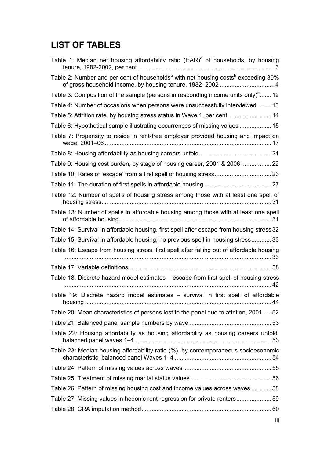## <span id="page-3-0"></span>**LIST OF TABLES**

| Table 1: Median net housing affordability ratio (HAR) <sup>a</sup> of households, by housing              |  |
|-----------------------------------------------------------------------------------------------------------|--|
| Table 2: Number and per cent of households <sup>a</sup> with net housing costs <sup>b</sup> exceeding 30% |  |
| Table 3: Composition of the sample (persons in responding income units only) <sup>a</sup> 12              |  |
| Table 4: Number of occasions when persons were unsuccessfully interviewed  13                             |  |
| Table 5: Attrition rate, by housing stress status in Wave 1, per cent 14                                  |  |
| Table 6: Hypothetical sample illustrating occurrences of missing values  15                               |  |
| Table 7: Propensity to reside in rent-free employer provided housing and impact on                        |  |
|                                                                                                           |  |
| Table 9: Housing cost burden, by stage of housing career, 2001 & 2006                                     |  |
|                                                                                                           |  |
|                                                                                                           |  |
| Table 12: Number of spells of housing stress among those with at least one spell of                       |  |
| Table 13: Number of spells in affordable housing among those with at least one spell                      |  |
| Table 14: Survival in affordable housing, first spell after escape from housing stress 32                 |  |
| Table 15: Survival in affordable housing; no previous spell in housing stress 33                          |  |
| Table 16: Escape from housing stress, first spell after falling out of affordable housing                 |  |
|                                                                                                           |  |
| Table 18: Discrete hazard model estimates - escape from first spell of housing stress                     |  |
| Table 19: Discrete hazard model estimates - survival in first spell of affordable                         |  |
| Table 20: Mean characteristics of persons lost to the panel due to attrition, 200152                      |  |
|                                                                                                           |  |
| Table 22: Housing affordability as housing affordability as housing careers unfold,                       |  |
| Table 23: Median housing affordability ratio (%), by contemporaneous socioeconomic                        |  |
|                                                                                                           |  |
|                                                                                                           |  |
| Table 26: Pattern of missing housing cost and income values across waves 58                               |  |
| Table 27: Missing values in hedonic rent regression for private renters59                                 |  |
|                                                                                                           |  |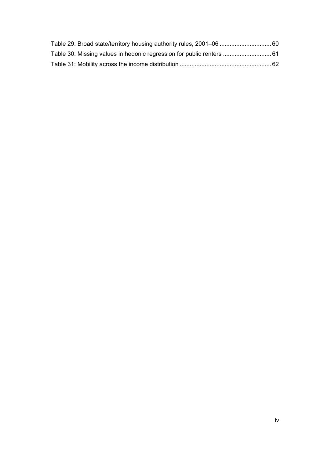| Table 29: Broad state/territory housing authority rules, 2001-06  60  |  |
|-----------------------------------------------------------------------|--|
| Table 30: Missing values in hedonic regression for public renters  61 |  |
|                                                                       |  |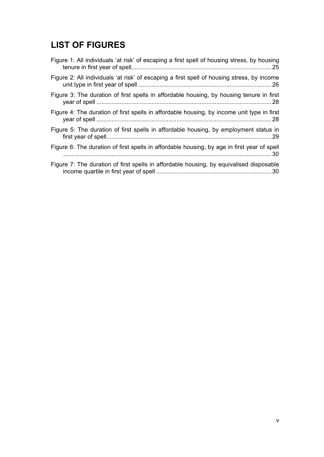## <span id="page-5-0"></span>**LIST OF FIGURES**

| Figure 1: All individuals 'at risk' of escaping a first spell of housing stress, by housing |
|---------------------------------------------------------------------------------------------|
| Figure 2: All individuals 'at risk' of escaping a first spell of housing stress, by income  |
| Figure 3: The duration of first spells in affordable housing, by housing tenure in first    |
| Figure 4: The duration of first spells in affordable housing, by income unit type in first  |
| Figure 5: The duration of first spells in affordable housing, by employment status in       |
| Figure 6: The duration of first spells in affordable housing, by age in first year of spell |
| Figure 7: The duration of first spells in affordable housing, by equivalised disposable     |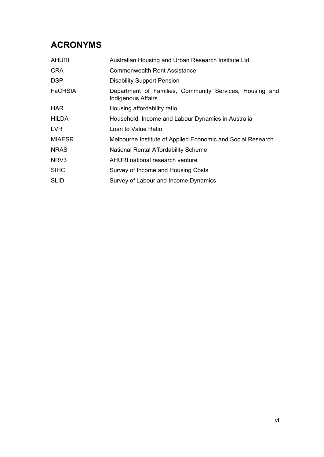## <span id="page-6-0"></span>**ACRONYMS**

| Australian Housing and Urban Research Institute Ltd.                          |  |  |  |  |  |
|-------------------------------------------------------------------------------|--|--|--|--|--|
| <b>Commonwealth Rent Assistance</b>                                           |  |  |  |  |  |
| <b>Disability Support Pension</b>                                             |  |  |  |  |  |
| Department of Families, Community Services, Housing and<br>Indigenous Affairs |  |  |  |  |  |
| Housing affordability ratio                                                   |  |  |  |  |  |
| Household, Income and Labour Dynamics in Australia                            |  |  |  |  |  |
| Loan to Value Ratio                                                           |  |  |  |  |  |
| Melbourne Institute of Applied Economic and Social Research                   |  |  |  |  |  |
| National Rental Affordability Scheme                                          |  |  |  |  |  |
| AHURI national research venture                                               |  |  |  |  |  |
| Survey of Income and Housing Costs                                            |  |  |  |  |  |
| Survey of Labour and Income Dynamics                                          |  |  |  |  |  |
|                                                                               |  |  |  |  |  |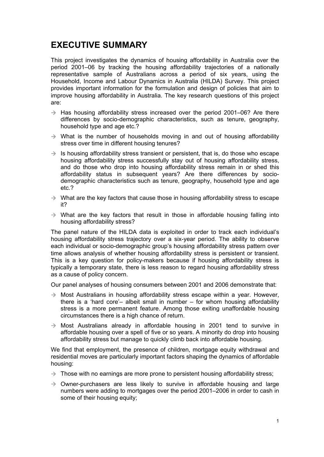## <span id="page-7-0"></span>**EXECUTIVE SUMMARY**

This project investigates the dynamics of housing affordability in Australia over the period 2001–06 by tracking the housing affordability trajectories of a nationally representative sample of Australians across a period of six years, using the Household, Income and Labour Dynamics in Australia (HILDA) Survey. This project provides important information for the formulation and design of policies that aim to improve housing affordability in Australia. The key research questions of this project are:

- $\rightarrow$  Has housing affordability stress increased over the period 2001–06? Are there differences by socio-demographic characteristics, such as tenure, geography, household type and age etc.?
- $\rightarrow$  What is the number of households moving in and out of housing affordability stress over time in different housing tenures?
- $\rightarrow$  Is housing affordability stress transient or persistent, that is, do those who escape housing affordability stress successfully stay out of housing affordability stress, and do those who drop into housing affordability stress remain in or shed this affordability status in subsequent years? Are there differences by sociodemographic characteristics such as tenure, geography, household type and age etc.?
- $\rightarrow$  What are the key factors that cause those in housing affordability stress to escape it?
- $\rightarrow$  What are the key factors that result in those in affordable housing falling into housing affordability stress?

The panel nature of the HILDA data is exploited in order to track each individual's housing affordability stress trajectory over a six-year period. The ability to observe each individual or socio-demographic group's housing affordability stress pattern over time allows analysis of whether housing affordability stress is persistent or transient. This is a key question for policy-makers because if housing affordability stress is typically a temporary state, there is less reason to regard housing affordability stress as a cause of policy concern.

Our panel analyses of housing consumers between 2001 and 2006 demonstrate that:

- $\rightarrow$  Most Australians in housing affordability stress escape within a year. However, there is a 'hard core'– albeit small in number – for whom housing affordability stress is a more permanent feature. Among those exiting unaffordable housing circumstances there is a high chance of return.
- $\rightarrow$  Most Australians already in affordable housing in 2001 tend to survive in affordable housing over a spell of five or so years. A minority do drop into housing affordability stress but manage to quickly climb back into affordable housing.

We find that employment, the presence of children, mortgage equity withdrawal and residential moves are particularly important factors shaping the dynamics of affordable housing:

- $\rightarrow$  Those with no earnings are more prone to persistent housing affordability stress;
- $\rightarrow$  Owner-purchasers are less likely to survive in affordable housing and large numbers were adding to mortgages over the period 2001–2006 in order to cash in some of their housing equity;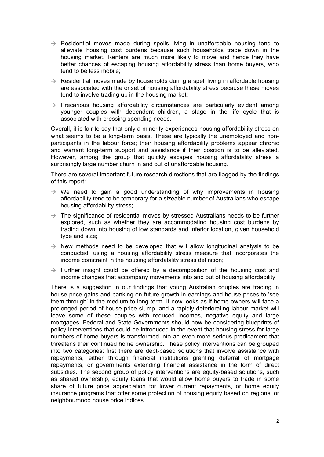- $\rightarrow$  Residential moves made during spells living in unaffordable housing tend to alleviate housing cost burdens because such households trade down in the housing market. Renters are much more likely to move and hence they have better chances of escaping housing affordability stress than home buyers, who tend to be less mobile;
- $\rightarrow$  Residential moves made by households during a spell living in affordable housing are associated with the onset of housing affordability stress because these moves tend to involve trading up in the housing market;
- $\rightarrow$  Precarious housing affordability circumstances are particularly evident among younger couples with dependent children, a stage in the life cycle that is associated with pressing spending needs.

Overall, it is fair to say that only a minority experiences housing affordability stress on what seems to be a long-term basis. These are typically the unemployed and nonparticipants in the labour force; their housing affordability problems appear chronic and warrant long-term support and assistance if their position is to be alleviated. However, among the group that quickly escapes housing affordability stress a surprisingly large number churn in and out of unaffordable housing.

There are several important future research directions that are flagged by the findings of this report:

- $\rightarrow$  We need to gain a good understanding of why improvements in housing affordability tend to be temporary for a sizeable number of Australians who escape housing affordability stress;
- $\rightarrow$  The significance of residential moves by stressed Australians needs to be further explored, such as whether they are accommodating housing cost burdens by trading down into housing of low standards and inferior location, given household type and size;
- $\rightarrow$  New methods need to be developed that will allow longitudinal analysis to be conducted, using a housing affordability stress measure that incorporates the income constraint in the housing affordability stress definition;
- $\rightarrow$  Further insight could be offered by a decomposition of the housing cost and income changes that accompany movements into and out of housing affordability.

There is a suggestion in our findings that young Australian couples are trading in house price gains and banking on future growth in earnings and house prices to 'see them through' in the medium to long term. It now looks as if home owners will face a prolonged period of house price slump, and a rapidly deteriorating labour market will leave some of these couples with reduced incomes, negative equity and large mortgages. Federal and State Governments should now be considering blueprints of policy interventions that could be introduced in the event that housing stress for large numbers of home buyers is transformed into an even more serious predicament that threatens their continued home ownership. These policy interventions can be grouped into two categories: first there are debt-based solutions that involve assistance with repayments, either through financial institutions granting deferral of mortgage repayments, or governments extending financial assistance in the form of direct subsidies. The second group of policy interventions are equity-based solutions, such as shared ownership, equity loans that would allow home buyers to trade in some share of future price appreciation for lower current repayments, or home equity insurance programs that offer some protection of housing equity based on regional or neighbourhood house price indices.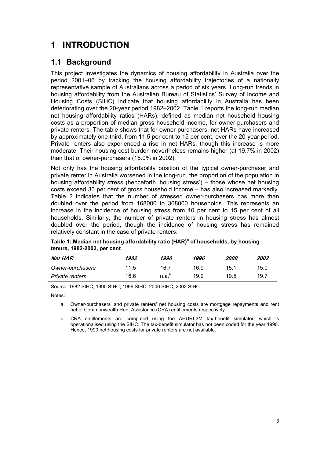## <span id="page-9-0"></span>**1 INTRODUCTION**

## **1.1 Background**

This project investigates the dynamics of housing affordability in Australia over the period 2001–06 by tracking the housing affordability trajectories of a nationally representative sample of Australians across a period of six years. Long-run trends in housing affordability from the Australian Bureau of Statistics' Survey of Income and Housing Costs (SIHC) indicate that housing affordability in Australia has been deteriorating over the 20-year period 1982–2002. Table 1 reports the long-run median net housing affordability ratios (HARs), defined as median net household housing costs as a proportion of median gross household income, for owner-purchasers and private renters. The table shows that for owner-purchasers, net HARs have increased by approximately one-third, from 11.5 per cent to 15 per cent, over the 20-year period. Private renters also experienced a rise in net HARs, though this increase is more moderate. Their housing cost burden nevertheless remains higher (at 19.7% in 2002) than that of owner-purchasers (15.0% in 2002).

Not only has the housing affordability position of the typical owner-purchaser and private renter in Australia worsened in the long-run, the proportion of the population in housing affordability stress (henceforth 'housing stress') – those whose net housing costs exceed 30 per cent of gross household income – has also increased markedly. Table 2 indicates that the number of stressed owner-purchasers has more than doubled over the period from 168000 to 368000 households. This represents an increase in the incidence of housing stress from 10 per cent to 15 per cent of all households. Similarly, the number of private renters in housing stress has almost doubled over the period, though the incidence of housing stress has remained relatively constant in the case of private renters.

| <b>Net HAR</b>   | 1982 | 1990              | 1996 | <i>2000</i> | 2002 |
|------------------|------|-------------------|------|-------------|------|
| Owner-purchasers | 11.5 | 16.7              | 16.9 | 15.1        | 15.0 |
| Private renters  | 16.6 | n.a. <sup>b</sup> | 19.2 | 19.5        | 19.7 |

**Table 1: Median net housing affordability ratio (HAR)<sup>a</sup> of households, by housing tenure, 1982-2002, per cent** 

Source: 1982 SIHC, 1990 SIHC, 1996 SIHC, 2000 SIHC, 2002 SIHC

Notes:

a. Owner-purchasers' and private renters' net housing costs are mortgage repayments and rent net of Commonwealth Rent Assistance (CRA) entitlements respectively.

b. CRA entitlements are computed using the AHURI-3M tax-benefit simulator, which is operationalised using the SIHC. The tax-benefit simulator has not been coded for the year 1990. Hence, 1990 net housing costs for private renters are not available.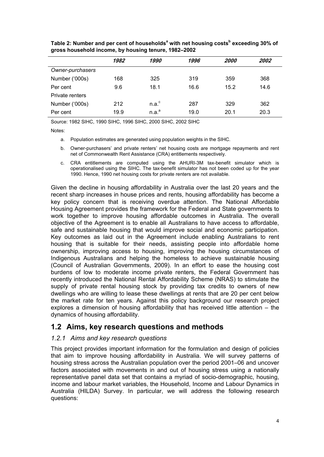|                  | 1982 | 1990              | 1996 | <i>2000</i> | 2002 |
|------------------|------|-------------------|------|-------------|------|
| Owner-purchasers |      |                   |      |             |      |
| Number ('000s)   | 168  | 325               | 319  | 359         | 368  |
| Per cent         | 9.6  | 18.1              | 16.6 | 15.2        | 14.6 |
| Private renters  |      |                   |      |             |      |
| Number ('000s)   | 212  | n.a. <sup>c</sup> | 287  | 329         | 362  |
| Per cent         | 19.9 | n.a. <sup>a</sup> | 19.0 | 20.1        | 20.3 |

<span id="page-10-0"></span>Table 2: Number and per cent of households<sup>a</sup> with net housing costs<sup>b</sup> exceeding 30% of **gross household income, by housing tenure, 1982–2002** 

Source: 1982 SIHC, 1990 SIHC, 1996 SIHC, 2000 SIHC, 2002 SIHC

Notes:

- a. Population estimates are generated using population weights in the SIHC.
- b. Owner-purchasers' and private renters' net housing costs are mortgage repayments and rent net of Commonwealth Rent Assistance (CRA) entitlements respectively.
- c. CRA entitlements are computed using the AHURI-3M tax-benefit simulator which is operationalised using the SIHC. The tax-benefit simulator has not been coded up for the year 1990. Hence, 1990 net housing costs for private renters are not available.

Given the decline in housing affordability in Australia over the last 20 years and the recent sharp increases in house prices and rents, housing affordability has become a key policy concern that is receiving overdue attention. The National Affordable Housing Agreement provides the framework for the Federal and State governments to work together to improve housing affordable outcomes in Australia. The overall objective of the Agreement is to enable all Australians to have access to affordable, safe and sustainable housing that would improve social and economic participation. Key outcomes as laid out in the Agreement include enabling Australians to rent housing that is suitable for their needs, assisting people into affordable home ownership, improving access to housing, improving the housing circumstances of Indigenous Australians and helping the homeless to achieve sustainable housing (Council of Australian Governments, 2009). In an effort to ease the housing cost burdens of low to moderate income private renters, the Federal Government has recently introduced the National Rental Affordability Scheme (NRAS) to stimulate the supply of private rental housing stock by providing tax credits to owners of new dwellings who are willing to lease these dwellings at rents that are 20 per cent below the market rate for ten years. Against this policy background our research project explores a dimension of housing affordability that has received little attention – the dynamics of housing affordability.

### **1.2 Aims, key research questions and methods**

#### *1.2.1 Aims and key research questions*

This project provides important information for the formulation and design of policies that aim to improve housing affordability in Australia. We will survey patterns of housing stress across the Australian population over the period 2001–06 and uncover factors associated with movements in and out of housing stress using a nationally representative panel data set that contains a myriad of socio-demographic, housing, income and labour market variables, the Household, Income and Labour Dynamics in Australia (HILDA) Survey. In particular, we will address the following research questions: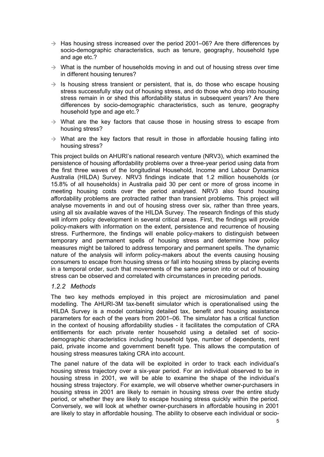- <span id="page-11-0"></span> $\rightarrow$  Has housing stress increased over the period 2001–06? Are there differences by socio-demographic characteristics, such as tenure, geography, household type and age etc.?
- $\rightarrow$  What is the number of households moving in and out of housing stress over time in different housing tenures?
- $\rightarrow$  Is housing stress transient or persistent, that is, do those who escape housing stress successfully stay out of housing stress, and do those who drop into housing stress remain in or shed this affordability status in subsequent years? Are there differences by socio-demographic characteristics, such as tenure, geography household type and age etc.?
- $\rightarrow$  What are the key factors that cause those in housing stress to escape from housing stress?
- $\rightarrow$  What are the key factors that result in those in affordable housing falling into housing stress?

This project builds on AHURI's national research venture (NRV3), which examined the persistence of housing affordability problems over a three-year period using data from the first three waves of the longitudinal Household, Income and Labour Dynamics Australia (HILDA) Survey. NRV3 findings indicate that 1.2 million households (or 15.8% of all households) in Australia paid 30 per cent or more of gross income in meeting housing costs over the period analysed. NRV3 also found housing affordability problems are protracted rather than transient problems. This project will analyse movements in and out of housing stress over six, rather than three years, using all six available waves of the HILDA Survey. The research findings of this study will inform policy development in several critical areas. First, the findings will provide policy-makers with information on the extent, persistence and recurrence of housing stress. Furthermore, the findings will enable policy-makers to distinguish between temporary and permanent spells of housing stress and determine how policy measures might be tailored to address temporary and permanent spells. The dynamic nature of the analysis will inform policy-makers about the events causing housing consumers to escape from housing stress or fall into housing stress by placing events in a temporal order, such that movements of the same person into or out of housing stress can be observed and correlated with circumstances in preceding periods.

### *1.2.2 Methods*

The two key methods employed in this project are microsimulation and panel modelling. The AHURI-3M tax-benefit simulator which is operationalised using the HILDA Survey is a model containing detailed tax, benefit and housing assistance parameters for each of the years from 2001–06. The simulator has a critical function in the context of housing affordability studies - it facilitates the computation of CRA entitlements for each private renter household using a detailed set of sociodemographic characteristics including household type, number of dependents, rent paid, private income and government benefit type. This allows the computation of housing stress measures taking CRA into account.

The panel nature of the data will be exploited in order to track each individual's housing stress trajectory over a six-year period. For an individual observed to be in housing stress in 2001, we will be able to examine the shape of the individual's housing stress trajectory. For example, we will observe whether owner-purchasers in housing stress in 2001 are likely to remain in housing stress over the entire study period, or whether they are likely to escape housing stress quickly within the period. Conversely, we will look at whether owner-purchasers in affordable housing in 2001 are likely to stay in affordable housing. The ability to observe each individual or socio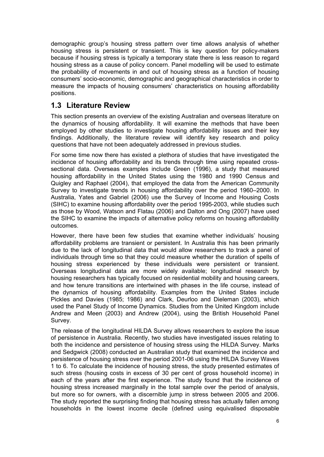<span id="page-12-0"></span>demographic group's housing stress pattern over time allows analysis of whether housing stress is persistent or transient. This is key question for policy-makers because if housing stress is typically a temporary state there is less reason to regard housing stress as a cause of policy concern. Panel modelling will be used to estimate the probability of movements in and out of housing stress as a function of housing consumers' socio-economic, demographic and geographical characteristics in order to measure the impacts of housing consumers' characteristics on housing affordability positions.

## **1.3 Literature Review**

This section presents an overview of the existing Australian and overseas literature on the dynamics of housing affordability. It will examine the methods that have been employed by other studies to investigate housing affordability issues and their key findings. Additionally, the literature review will identify key research and policy questions that have not been adequately addressed in previous studies.

For some time now there has existed a plethora of studies that have investigated the incidence of housing affordability and its trends through time using repeated crosssectional data. Overseas examples include Green (1996), a study that measured housing affordability in the United States using the 1980 and 1990 Census and Quigley and Raphael (2004), that employed the data from the American Community Survey to investigate trends in housing affordability over the period 1960–2000. In Australia, Yates and Gabriel (2006) use the Survey of Income and Housing Costs (SIHC) to examine housing affordability over the period 1995-2003, while studies such as those by Wood, Watson and Flatau (2006) and Dalton and Ong (2007) have used the SIHC to examine the impacts of alternative policy reforms on housing affordability outcomes.

However, there have been few studies that examine whether individuals' housing affordability problems are transient or persistent. In Australia this has been primarily due to the lack of longitudinal data that would allow researchers to track a panel of individuals through time so that they could measure whether the duration of spells of housing stress experienced by these individuals were persistent or transient. Overseas longitudinal data are more widely available; longitudinal research by housing researchers has typically focused on residential mobility and housing careers, and how tenure transitions are intertwined with phases in the life course, instead of the dynamics of housing affordability. Examples from the United States include Pickles and Davies (1985; 1986) and Clark, Deurloo and Dieleman (2003), which used the Panel Study of Income Dynamics. Studies from the United Kingdom include Andrew and Meen (2003) and Andrew (2004), using the British Household Panel Survey.

The release of the longitudinal HILDA Survey allows researchers to explore the issue of persistence in Australia. Recently, two studies have investigated issues relating to both the incidence and persistence of housing stress using the HILDA Survey. Marks and Sedgwick (2008) conducted an Australian study that examined the incidence and persistence of housing stress over the period 2001-06 using the HILDA Survey Waves 1 to 6. To calculate the incidence of housing stress, the study presented estimates of such stress (housing costs in excess of 30 per cent of gross household income) in each of the years after the first experience. The study found that the incidence of housing stress increased marginally in the total sample over the period of analysis, but more so for owners, with a discernible jump in stress between 2005 and 2006. The study reported the surprising finding that housing stress has actually fallen among households in the lowest income decile (defined using equivalised disposable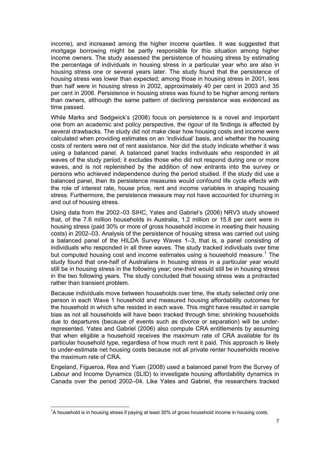income), and increased among the higher income quartiles. It was suggested that mortgage borrowing might be partly responsible for this situation among higher income owners. The study assessed the persistence of housing stress by estimating the percentage of individuals in housing stress in a particular year who are also in housing stress one or several years later. The study found that the persistence of housing stress was lower than expected; among those in housing stress in 2001, less than half were in housing stress in 2002, approximately 40 per cent in 2003 and 35 per cent in 2006. Persistence in housing stress was found to be higher among renters than owners, although the same pattern of declining persistence was evidenced as time passed.

While Marks and Sedgwick's (2008) focus on persistence is a novel and important one from an academic and policy perspective, the rigour of its findings is affected by several drawbacks. The study did not make clear how housing costs and income were calculated when providing estimates on an 'individual' basis, and whether the housing costs of renters were net of rent assistance. Nor did the study indicate whether it was using a balanced panel. A balanced panel tracks individuals who responded in all waves of the study period; it excludes those who did not respond during one or more waves, and is not replenished by the addition of new entrants into the survey or persons who achieved independence during the period studied. If the study did use a balanced panel, then its persistence measures would confound life cycle effects with the role of interest rate, house price, rent and income variables in shaping housing stress. Furthermore, the persistence measure may not have accounted for churning in and out of housing stress.

Using data from the 2002–03 SIHC, Yates and Gabriel's (2006) NRV3 study showed that, of the 7.6 million households in Australia, 1.2 million or 15.8 per cent were in housing stress (paid 30% or more of gross household income in meeting their housing costs) in 2002–03. Analysis of the persistence of housing stress was carried out using a balanced panel of the HILDA Survey Waves 1–3, that is, a panel consisting of individuals who responded in all three waves. The study tracked individuals over time but computed housing cost and income estimates using a household measure.<sup>[1](#page-13-0)</sup> The study found that one-half of Australians in housing stress in a particular year would still be in housing stress in the following year; one-third would still be in housing stress in the two following years. The study concluded that housing stress was a protracted rather than transient problem.

Because individuals move between households over time, the study selected only one person in each Wave 1 household and measured housing affordability outcomes for the household in which s/he resided in each wave. This might have resulted in sample bias as not all households will have been tracked through time; shrinking households due to departures (because of events such as divorce or separation) will be underrepresented. Yates and Gabriel (2006) also compute CRA entitlements by assuming that when eligible a household receives the maximum rate of CRA available for its particular household type, regardless of how much rent it paid. This approach is likely to under-estimate net housing costs because not all private renter households receive the maximum rate of CRA.

Engeland, Figueroa, Rea and Yuen (2008) used a balanced panel from the Survey of Labour and Income Dynamics (SLID) to investigate housing affordability dynamics in Canada over the period 2002–04. Like Yates and Gabriel, the researchers tracked

<span id="page-13-0"></span> $1/3$  household is in housing stress if paying at least 30% of gross household income in housing costs.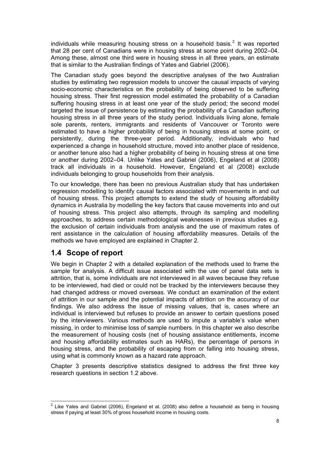<span id="page-14-0"></span>individuals while measuring housing stress on a household basis.<sup>[2](#page-14-1)</sup> It was reported that 28 per cent of Canadians were in housing stress at some point during 2002–04. Among these, almost one third were in housing stress in all three years, an estimate that is similar to the Australian findings of Yates and Gabriel (2006).

The Canadian study goes beyond the descriptive analyses of the two Australian studies by estimating two regression models to uncover the causal impacts of varying socio-economic characteristics on the probability of being observed to be suffering housing stress. Their first regression model estimated the probability of a Canadian suffering housing stress in at least one year of the study period; the second model targeted the issue of persistence by estimating the probability of a Canadian suffering housing stress in all three years of the study period. Individuals living alone, female sole parents, renters, immigrants and residents of Vancouver or Toronto were estimated to have a higher probability of being in housing stress at some point, or persistently, during the three-year period. Additionally, individuals who had experienced a change in household structure, moved into another place of residence, or another tenure also had a higher probability of being in housing stress at one time or another during 2002–04. Unlike Yates and Gabriel (2006), Engeland et al (2008) track all individuals in a household. However, Engeland et al (2008) exclude individuals belonging to group households from their analysis.

To our knowledge, there has been no previous Australian study that has undertaken regression modelling to identify causal factors associated with movements in and out of housing stress. This project attempts to extend the study of housing affordability dynamics in Australia by modelling the key factors that cause movements into and out of housing stress. This project also attempts, through its sampling and modelling approaches, to address certain methodological weaknesses in previous studies e.g. the exclusion of certain individuals from analysis and the use of maximum rates of rent assistance in the calculation of housing affordability measures. Details of the methods we have employed are explained in Chapter 2.

### **1.4 Scope of report**

We begin in Chapter 2 with a detailed explanation of the methods used to frame the sample for analysis. A difficult issue associated with the use of panel data sets is attrition, that is, some individuals are not interviewed in all waves because they refuse to be interviewed, had died or could not be tracked by the interviewers because they had changed address or moved overseas. We conduct an examination of the extent of attrition in our sample and the potential impacts of attrition on the accuracy of our findings. We also address the issue of missing values, that is, cases where an individual is interviewed but refuses to provide an answer to certain questions posed by the interviewers. Various methods are used to impute a variable's value when missing, in order to minimise loss of sample numbers. In this chapter we also describe the measurement of housing costs (net of housing assistance entitlements, income and housing affordability estimates such as HARs), the percentage of persons in housing stress, and the probability of escaping from or falling into housing stress, using what is commonly known as a hazard rate approach.

Chapter 3 presents descriptive statistics designed to address the first three key research questions in section 1.2 above.

<span id="page-14-1"></span><sup>&</sup>lt;u>2</u><br><sup>2</sup> Like Yates and Gabriel (2006), Engeland et al. (2008) also define a household as being in housing stress if paying at least 30% of gross household income in housing costs.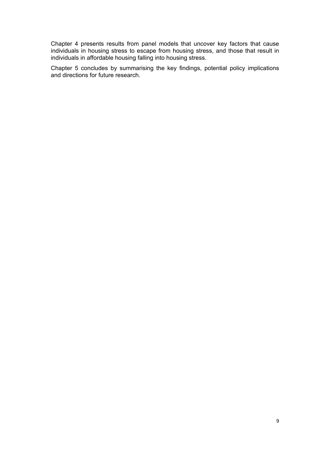Chapter 4 presents results from panel models that uncover key factors that cause individuals in housing stress to escape from housing stress, and those that result in individuals in affordable housing falling into housing stress.

Chapter 5 concludes by summarising the key findings, potential policy implications and directions for future research.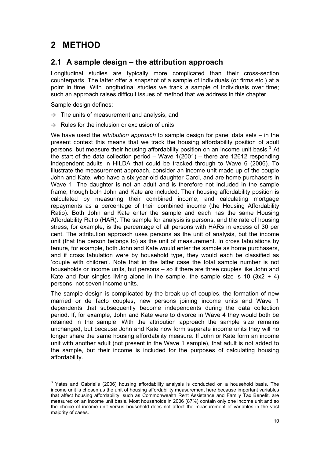## <span id="page-16-0"></span>**2 METHOD**

## **2.1 A sample design – the attribution approach**

Longitudinal studies are typically more complicated than their cross-section counterparts. The latter offer a snapshot of a sample of individuals (or firms etc.) at a point in time. With longitudinal studies we track a sample of individuals over time; such an approach raises difficult issues of method that we address in this chapter.

Sample design defines:

- $\rightarrow$  The units of measurement and analysis, and
- $\rightarrow$  Rules for the inclusion or exclusion of units

We have used the *attribution approach* to sample design for panel data sets – in the present context this means that we track the housing affordability position of adult persons, but measure their housing affordability position on an income unit basis. $3$  At the start of the data collection period – Wave 1(2001) – there are 12612 responding independent adults in HILDA that could be tracked through to Wave 6 (2006). To illustrate the measurement approach, consider an income unit made up of the couple John and Kate, who have a six-year-old daughter Carol, and are home purchasers in Wave 1. The daughter is not an adult and is therefore not included in the sample frame, though both John and Kate are included. Their housing affordability position is calculated by measuring their combined income, and calculating mortgage repayments as a percentage of their combined income (the Housing Affordability Ratio). Both John and Kate enter the sample and each has the same Housing Affordability Ratio (HAR). The sample for analysis is persons, and the rate of housing stress, for example, is the percentage of all persons with HARs in excess of 30 per cent. The attribution approach uses persons as the unit of analysis, but the income unit (that the person belongs to) as the unit of measurement. In cross tabulations by tenure, for example, both John and Kate would enter the sample as home purchasers, and if cross tabulation were by household type, they would each be classified as 'couple with children'. Note that in the latter case the total sample number is not households or income units, but persons – so if there are three couples like John and Kate and four singles living alone in the sample, the sample size is 10  $(3x2 + 4)$ persons, not seven income units.

The sample design is complicated by the break-up of couples, the formation of new married or de facto couples, new persons joining income units and Wave 1 dependents that subsequently become independents during the data collection period. If, for example, John and Kate were to divorce in Wave 4 they would both be retained in the sample. With the attribution approach the sample size remains unchanged, but because John and Kate now form separate income units they will no longer share the same housing affordability measure. If John or Kate form an income unit with another adult (not present in the Wave 1 sample), that adult is not added to the sample, but their income is included for the purposes of calculating housing affordability.

<span id="page-16-1"></span>**EXECUTE:**<br><sup>3</sup> Yates and Gabriel's (2006) housing affordability analysis is conducted on a household basis. The income unit is chosen as the unit of housing affordability measurement here because important variables that affect housing affordability, such as Commonwealth Rent Assistance and Family Tax Benefit, are measured on an income unit basis. Most households in 2006 (87%) contain only one income unit and so the choice of income unit versus household does not affect the measurement of variables in the vast majority of cases.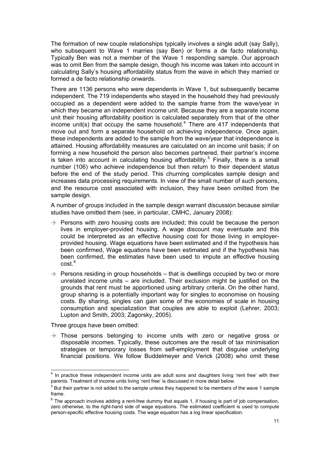The formation of new couple relationships typically involves a single adult (say Sally), who subsequent to Wave 1 marries (say Ben) or forms a de facto relationship. Typically Ben was not a member of the Wave 1 responding sample. Our approach was to omit Ben from the sample design, though his income was taken into account in calculating Sally's housing affordability status from the wave in which they married or formed a de facto relationship onwards.

There are 1136 persons who were dependents in Wave 1, but subsequently became independent. The 719 independents who stayed in the household they had previously occupied as a dependent were added to the sample frame from the wave/year in which they became an independent income unit. Because they are a separate income unit their housing affordability position is calculated separately from that of the other income unit(s) that occupy the same household.<sup>[4](#page-17-0)</sup> There are 417 independents that move out and form a separate household on achieving independence. Once again, these independents are added to the sample from the wave/year that independence is attained. Housing affordability measures are calculated on an income unit basis; if on forming a new household the person also becomes partnered, their partner's income is taken into account in calculating housing affordability.<sup>[5](#page-17-1)</sup> Finally, there is a small number (106) who achieve independence but then return to their dependent status before the end of the study period. This churning complicates sample design and increases data processing requirements. In view of the small number of such persons, and the resource cost associated with inclusion, they have been omitted from the sample design.

A number of groups included in the sample design warrant discussion because similar studies have omitted them (see, in particular, CMHC, January 2008):

- $\rightarrow$  Persons with zero housing costs are included; this could be because the person lives in employer-provided housing. A wage discount may eventuate and this could be interpreted as an effective housing cost for those living in employerprovided housing. Wage equations have been estimated and if the hypothesis has been confirmed, Wage equations have been estimated and if the hypothesis has been confirmed, the estimates have been used to impute an effective housing cost.<sup>[6](#page-17-2)</sup>
- $\rightarrow$  Persons residing in group households that is dwellings occupied by two or more unrelated income units – are included. Their exclusion might be justified on the grounds that rent must be apportioned using arbitrary criteria. On the other hand, group sharing is a potentially important way for singles to economise on housing costs. By sharing, singles can gain some of the economies of scale in housing consumption and specialization that couples are able to exploit (Lehrer, 2003; Lupton and Smith, 2003; Zagorsky, 2005).

Three groups have been omitted:

 $\overline{\phantom{a}}$ 

 $\rightarrow$  Those persons belonging to income units with zero or negative gross or disposable incomes. Typically, these outcomes are the result of tax minimisation strategies or temporary losses from self-employment that disguise underlying financial positions. We follow Buddelmeyer and Verick (2008) who omit these

<span id="page-17-0"></span><sup>&</sup>lt;sup>4</sup> In practice these independent income units are adult sons and daughters living 'rent free' with their parents. Treatment of income units living 'rent free' is discussed in more detail below.

<span id="page-17-1"></span> $5$  But their partner is not added to the sample unless they happened to be members of the wave 1 sample frame.

<span id="page-17-2"></span> $6$  The approach involves adding a rent-free dummy that equals 1, if housing is part of job compensation, zero otherwise, to the right-hand side of wage equations. The estimated coefficient is used to compute person-specific effective housing costs. The wage equation has a log linear specification.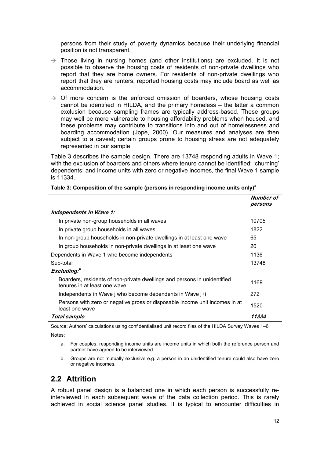<span id="page-18-0"></span>persons from their study of poverty dynamics because their underlying financial position is not transparent.

- $\rightarrow$  Those living in nursing homes (and other institutions) are excluded. It is not possible to observe the housing costs of residents of non-private dwellings who report that they are home owners. For residents of non-private dwellings who report that they are renters, reported housing costs may include board as well as accommodation.
- $\rightarrow$  Of more concern is the enforced omission of boarders, whose housing costs cannot be identified in HILDA, and the primary homeless – the latter a common exclusion because sampling frames are typically address-based. These groups may well be more vulnerable to housing affordability problems when housed, and these problems may contribute to transitions into and out of homelessness and boarding accommodation (Jope, 2000). Our measures and analyses are then subject to a caveat; certain groups prone to housing stress are not adequately represented in our sample.

Table 3 describes the sample design. There are 13748 responding adults in Wave 1; with the exclusion of boarders and others where tenure cannot be identified; 'churning' dependents; and income units with zero or negative incomes, the final Wave 1 sample is 11334.

|                                                                                                          | Number of<br>persons |
|----------------------------------------------------------------------------------------------------------|----------------------|
| Independents in Wave 1:                                                                                  |                      |
| In private non-group households in all waves                                                             | 10705                |
| In private group households in all waves                                                                 | 1822                 |
| In non-group households in non-private dwellings in at least one wave                                    | 65                   |
| In group households in non-private dwellings in at least one wave                                        | 20                   |
| Dependents in Wave 1 who become independents                                                             | 1136                 |
| Sub-total                                                                                                | 13748                |
| Excluding. <sup>b</sup>                                                                                  |                      |
| Boarders, residents of non-private dwellings and persons in unidentified<br>tenures in at least one wave | 1169                 |
| Independents in Wave j who become dependents in Wave j+i                                                 | 272                  |
| Persons with zero or negative gross or disposable income unit incomes in at<br>least one wave            | 1520                 |
| Total sample                                                                                             | 11334                |

#### **Table 3: Composition of the sample (persons in responding income units only)<sup>a</sup>**

Source: Authors' calculations using confidentialised unit record files of the HILDA Survey Waves 1–6

Notes:

a. For couples, responding income units are income units in which both the reference person and partner have agreed to be interviewed.

b. Groups are not mutually exclusive e.g. a person in an unidentified tenure could also have zero or negative incomes.

### **2.2 Attrition**

A robust panel design is a balanced one in which each person is successfully reinterviewed in each subsequent wave of the data collection period. This is rarely achieved in social science panel studies. It is typical to encounter difficulties in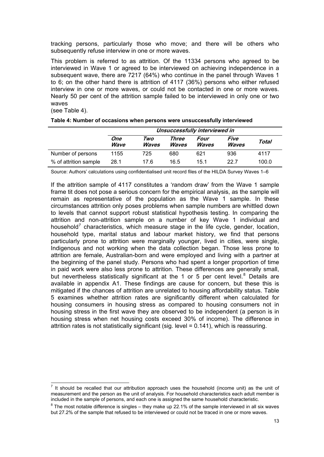<span id="page-19-0"></span>tracking persons, particularly those who move; and there will be others who subsequently refuse interview in one or more waves.

This problem is referred to as attrition. Of the 11334 persons who agreed to be interviewed in Wave 1 or agreed to be interviewed on achieving independence in a subsequent wave, there are 7217 (64%) who continue in the panel through Waves 1 to 6; on the other hand there is attrition of 4117 (36%) persons who either refused interview in one or more waves, or could not be contacted in one or more waves. Nearly 50 per cent of the attrition sample failed to be interviewed in only one or two waves

(see Table 4).

|                       | Unsuccessfully interviewed in |                     |                              |                      |                      |       |
|-----------------------|-------------------------------|---------------------|------------------------------|----------------------|----------------------|-------|
|                       | One<br>Wave                   | Two<br><b>Waves</b> | Three<br><i><b>Waves</b></i> | Four<br><b>Waves</b> | Five<br><b>Waves</b> | Total |
| Number of persons     | 1155                          | 725                 | 680                          | 621                  | 936                  | 4117  |
| % of attrition sample | 28.1                          | 17 6                | 16.5                         | 15.1                 | 22.7                 | 100.0 |

Source: Authors' calculations using confidentialised unit record files of the HILDA Survey Waves 1–6

If the attrition sample of 4117 constitutes a 'random draw' from the Wave 1 sample frame tit does not pose a serious concern for the empirical analysis, as the sample will remain as representative of the population as the Wave 1 sample. In these circumstances attrition only poses problems when sample numbers are whittled down to levels that cannot support robust statistical hypothesis testing. In comparing the attrition and non-attrition sample on a number of key Wave 1 individual and household<sup>[7](#page-19-1)</sup> characteristics, which measure stage in the life cycle, gender, location, household type, marital status and labour market history, we find that persons particularly prone to attrition were marginally younger, lived in cities, were single, Indigenous and not working when the data collection began. Those less prone to attrition are female, Australian-born and were employed and living with a partner at the beginning of the panel study. Persons who had spent a longer proportion of time in paid work were also less prone to attrition. These differences are generally small, but nevertheless statistically significant at the 1 or 5 per cent level. $8$  Details are available in appendix A1. These findings are cause for concern, but these this is mitigated if the chances of attrition are unrelated to housing affordability status. Table 5 examines whether attrition rates are significantly different when calculated for housing consumers in housing stress as compared to housing consumers not in housing stress in the first wave they are observed to be independent (a person is in housing stress when net housing costs exceed 30% of income). The difference in attrition rates is not statistically significant (sig. level = 0.141), which is reassuring.

<span id="page-19-1"></span>THE SHOULD THE TENDER THE TENDER THE UNITY OF THE UNITY OF THE UNITY OF THE UNITY OF THE SHOULD THE SHOULD THE SHOULD THE SHOULD THE SHOULD THE SHOULD THE SHOULD THE SHOULD THE SHOULD THE SHOULD THE SHOULD THE SHOULD THE S measurement and the person as the unit of analysis. For household characteristics each adult member is included in the sample of persons, and each one is assigned the same household characteristic. 8

<span id="page-19-2"></span> $8$  The most notable difference is singles – they make up 22.1% of the sample interviewed in all six waves but 27.2% of the sample that refused to be interviewed or could not be traced in one or more waves.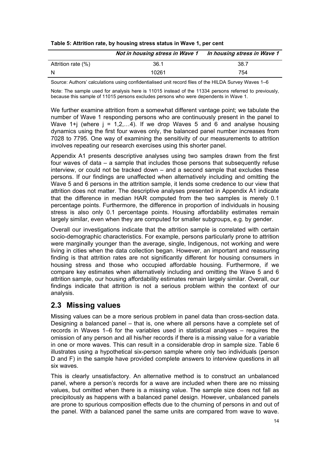<span id="page-20-0"></span>

| Table 5: Attrition rate, by housing stress status in Wave 1, per cent |  |  |  |  |
|-----------------------------------------------------------------------|--|--|--|--|
|                                                                       |  |  |  |  |

|                    | Not in housing stress in Wave 1 In housing stress in Wave 1 |      |
|--------------------|-------------------------------------------------------------|------|
| Attrition rate (%) | 36.1                                                        | 38.7 |
| -N                 | 10261                                                       | 754  |

Source: Authors' calculations using confidentialised unit record files of the HILDA Survey Waves 1–6

Note: The sample used for analysis here is 11015 instead of the 11334 persons referred to previously, because this sample of 11015 persons excludes persons who were dependents in Wave 1.

We further examine attrition from a somewhat different vantage point; we tabulate the number of Wave 1 responding persons who are continuously present in the panel to Wave 1+j (where  $j = 1, 2, \ldots, 4$ ). If we drop Waves 5 and 6 and analyse housing dynamics using the first four waves only, the balanced panel number increases from 7028 to 7795. One way of examining the sensitivity of our measurements to attrition involves repeating our research exercises using this shorter panel.

Appendix A1 presents descriptive analyses using two samples drawn from the first four waves of data – a sample that includes those persons that subsequently refuse interview, or could not be tracked down – and a second sample that excludes these persons. If our findings are unaffected when alternatively including and omitting the Wave 5 and 6 persons in the attrition sample, it lends some credence to our view that attrition does not matter. The descriptive analyses presented in Appendix A1 indicate that the difference in median HAR computed from the two samples is merely 0.1 percentage points. Furthermore, the difference in proportion of individuals in housing stress is also only 0.1 percentage points. Housing affordability estimates remain largely similar, even when they are computed for smaller subgroups, e.g. by gender.

Overall our investigations indicate that the attrition sample is correlated with certain socio-demographic characteristics. For example, persons particularly prone to attrition were marginally younger than the average, single, Indigenous, not working and were living in cities when the data collection began. However, an important and reassuring finding is that attrition rates are not significantly different for housing consumers in housing stress and those who occupied affordable housing. Furthermore, if we compare key estimates when alternatively including and omitting the Wave 5 and 6 attrition sample, our housing affordability estimates remain largely similar. Overall, our findings indicate that attrition is not a serious problem within the context of our analysis.

### **2.3 Missing values**

Missing values can be a more serious problem in panel data than cross-section data. Designing a balanced panel – that is, one where all persons have a complete set of records in Waves 1–6 for the variables used in statistical analyses – requires the omission of any person and all his/her records if there is a missing value for a variable in one or more waves. This can result in a considerable drop in sample size. Table 6 illustrates using a hypothetical six-person sample where only two individuals (person D and F) in the sample have provided complete answers to interview questions in all six waves.

This is clearly unsatisfactory. An alternative method is to construct an unbalanced panel, where a person's records for a wave are included when there are no missing values, but omitted when there is a missing value. The sample size does not fall as precipitously as happens with a balanced panel design. However, unbalanced panels are prone to spurious composition effects due to the churning of persons in and out of the panel. With a balanced panel the same units are compared from wave to wave.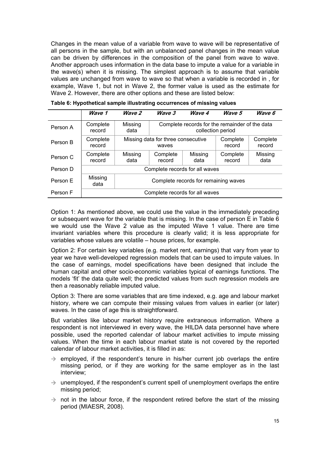<span id="page-21-0"></span>Changes in the mean value of a variable from wave to wave will be representative of all persons in the sample, but with an unbalanced panel changes in the mean value can be driven by differences in the composition of the panel from wave to wave. Another approach uses information in the data base to impute a value for a variable in the wave(s) when it is missing. The simplest approach is to assume that variable values are unchanged from wave to wave so that when a variable is recorded in , for example, Wave 1, but not in Wave 2, the former value is used as the estimate for Wave 2. However, there are other options and these are listed below:

|          | Wave 1             | Wave 2                               | Wave 3                                                              | Wave 4          | Wave 5             | Wave 6             |
|----------|--------------------|--------------------------------------|---------------------------------------------------------------------|-----------------|--------------------|--------------------|
| Person A | Complete<br>record | Missing<br>data                      | Complete records for the remainder of the data<br>collection period |                 |                    |                    |
| Person B | Complete<br>record |                                      | Missing data for three consecutive<br>waves                         |                 |                    | Complete<br>record |
| Person C | Complete<br>record | Missing<br>data                      | Complete<br>record                                                  | Missing<br>data | Complete<br>record | Missing<br>data    |
| Person D |                    | Complete records for all waves       |                                                                     |                 |                    |                    |
| Person E | Missing<br>data    | Complete records for remaining waves |                                                                     |                 |                    |                    |
| Person F |                    | Complete records for all waves       |                                                                     |                 |                    |                    |

| Table 6: Hypothetical sample illustrating occurrences of missing values |  |
|-------------------------------------------------------------------------|--|
|                                                                         |  |

Option 1: As mentioned above, we could use the value in the immediately preceding or subsequent wave for the variable that is missing. In the case of person E in Table 6 we would use the Wave 2 value as the imputed Wave 1 value. There are time invariant variables where this procedure is clearly valid; it is less appropriate for variables whose values are volatile – house prices, for example.

Option 2: For certain key variables (e.g. market rent, earnings) that vary from year to year we have well-developed regression models that can be used to impute values. In the case of earnings, model specifications have been designed that include the human capital and other socio-economic variables typical of earnings functions. The models 'fit' the data quite well; the predicted values from such regression models are then a reasonably reliable imputed value.

Option 3: There are some variables that are time indexed, e.g. age and labour market history, where we can compute their missing values from values in earlier (or later) waves. In the case of age this is straightforward.

But variables like labour market history require extraneous information. Where a respondent is not interviewed in every wave, the HILDA data personnel have where possible, used the reported calendar of labour market activities to impute missing values. When the time in each labour market state is not covered by the reported calendar of labour market activities, it is filled in as:

- $\rightarrow$  employed, if the respondent's tenure in his/her current job overlaps the entire missing period, or if they are working for the same employer as in the last interview;
- $\rightarrow$  unemployed, if the respondent's current spell of unemployment overlaps the entire missing period;
- $\rightarrow$  not in the labour force, if the respondent retired before the start of the missing period (MIAESR, 2008).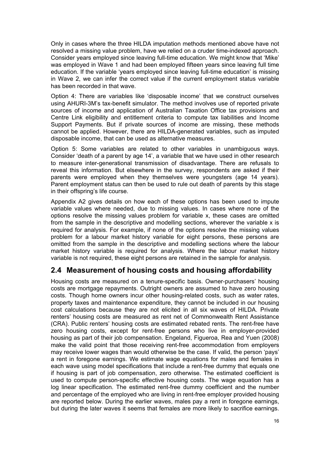<span id="page-22-0"></span>Only in cases where the three HILDA imputation methods mentioned above have not resolved a missing value problem, have we relied on a cruder time-indexed approach. Consider years employed since leaving full-time education. We might know that 'Mike' was employed in Wave 1 and had been employed fifteen years since leaving full time education. If the variable 'years employed since leaving full-time education' is missing in Wave 2, we can infer the correct value if the current employment status variable has been recorded in that wave.

Option 4: There are variables like 'disposable income' that we construct ourselves using AHURI-3M's tax-benefit simulator. The method involves use of reported private sources of income and application of Australian Taxation Office tax provisions and Centre Link eligibility and entitlement criteria to compute tax liabilities and Income Support Payments. But if private sources of income are missing, these methods cannot be applied. However, there are HILDA-generated variables, such as imputed disposable income, that can be used as alternative measures.

Option 5: Some variables are related to other variables in unambiguous ways. Consider 'death of a parent by age 14', a variable that we have used in other research to measure inter-generational transmission of disadvantage. There are refusals to reveal this information. But elsewhere in the survey, respondents are asked if their parents were employed when they themselves were youngsters (age 14 years). Parent employment status can then be used to rule out death of parents by this stage in their offspring's life course.

Appendix A2 gives details on how each of these options has been used to impute variable values where needed, due to missing values. In cases where none of the options resolve the missing values problem for variable x, these cases are omitted from the sample in the descriptive and modelling sections, wherever the variable  $x$  is required for analysis. For example, if none of the options resolve the missing values problem for a labour market history variable for eight persons, these persons are omitted from the sample in the descriptive and modelling sections where the labour market history variable is required for analysis. Where the labour market history variable is not required, these eight persons are retained in the sample for analysis.

## **2.4 Measurement of housing costs and housing affordability**

Housing costs are measured on a tenure-specific basis. Owner-purchasers' housing costs are mortgage repayments. Outright owners are assumed to have zero housing costs. Though home owners incur other housing-related costs, such as water rates, property taxes and maintenance expenditure, they cannot be included in our housing cost calculations because they are not elicited in all six waves of HILDA. Private renters' housing costs are measured as rent net of Commonwealth Rent Assistance (CRA). Public renters' housing costs are estimated rebated rents. The rent-free have zero housing costs, except for rent-free persons who live in employer-provided housing as part of their job compensation. Engeland, Figueroa, Rea and Yuen (2008) make the valid point that those receiving rent-free accommodation from employers may receive lower wages than would otherwise be the case. If valid, the person 'pays' a rent in foregone earnings. We estimate wage equations for males and females in each wave using model specifications that include a rent-free dummy that equals one if housing is part of job compensation, zero otherwise. The estimated coefficient is used to compute person-specific effective housing costs. The wage equation has a log linear specification. The estimated rent-free dummy coefficient and the number and percentage of the employed who are living in rent-free employer provided housing are reported below. During the earlier waves, males pay a rent in foregone earnings, but during the later waves it seems that females are more likely to sacrifice earnings.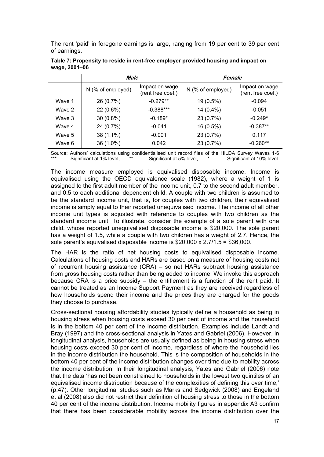<span id="page-23-0"></span>The rent 'paid' in foregone earnings is large, ranging from 19 per cent to 39 per cent of earnings.

|        | Male                |                                     |                     | Female                              |  |  |
|--------|---------------------|-------------------------------------|---------------------|-------------------------------------|--|--|
|        | $N$ (% of employed) | Impact on wage<br>(rent free coef.) | $N$ (% of employed) | Impact on wage<br>(rent free coef.) |  |  |
| Wave 1 | 26 (0.7%)           | $-0.279**$                          | 19 (0.5%)           | $-0.094$                            |  |  |
| Wave 2 | 22 (0.6%)           | $-0.388***$                         | 14 (0.4%)           | $-0.051$                            |  |  |
| Wave 3 | $30(0.8\%)$         | $-0.189*$                           | 23 (0.7%)           | $-0.249*$                           |  |  |
| Wave 4 | 24 (0.7%)           | $-0.041$                            | 16 (0.5%)           | $-0.387**$                          |  |  |
| Wave 5 | 38 (1.1%)           | $-0.001$                            | 23 (0.7%)           | 0.117                               |  |  |
| Wave 6 | 36 (1.0%)           | 0.042                               | 23 (0.7%)           | $-0.260**$                          |  |  |

**Table 7: Propensity to reside in rent-free employer provided housing and impact on wage, 2001–06** 

Source: Authors' calculations using confidentialised unit record files of the HILDA Survey Waves 1-6<br>\*\*\* Significant at 1% level, \*\* Significant at 5% level. \* Significant at 10% level Significant at 5% level.

The income measure employed is equivalised disposable income. Income is equivalised using the OECD equivalence scale (1982), where a weight of 1 is assigned to the first adult member of the income unit, 0.7 to the second adult member, and 0.5 to each additional dependent child. A couple with two children is assumed to be the standard income unit, that is, for couples with two children, their equivalised income is simply equal to their reported unequivalised income. The income of all other income unit types is adjusted with reference to couples with two children as the standard income unit. To illustrate, consider the example of a sole parent with one child, whose reported unequivalised disposable income is \$20,000. The sole parent has a weight of 1.5, while a couple with two children has a weight of 2.7. Hence, the sole parent's equivalised disposable income is \$20,000 x 2.7/1.5 = \$36,000.

The HAR is the ratio of net housing costs to equivalised disposable income. Calculations of housing costs and HARs are based on a measure of housing costs net of recurrent housing assistance (CRA) – so net HARs subtract housing assistance from gross housing costs rather than being added to income. We invoke this approach because CRA is a price subsidy – the entitlement is a function of the rent paid. It cannot be treated as an Income Support Payment as they are received regardless of how households spend their income and the prices they are charged for the goods they choose to purchase.

Cross-sectional housing affordability studies typically define a household as being in housing stress when housing costs exceed 30 per cent of income and the household is in the bottom 40 per cent of the income distribution. Examples include Landt and Bray (1997) and the cross-sectional analysis in Yates and Gabriel (2006). However, in longitudinal analysis, households are usually defined as being in housing stress when housing costs exceed 30 per cent of income, regardless of where the household lies in the income distribution the household. This is the composition of households in the bottom 40 per cent of the income distribution changes over time due to mobility across the income distribution. In their longitudinal analysis, Yates and Gabriel (2006) note that the data 'has not been constrained to households in the lowest two quintiles of an equivalised income distribution because of the complexities of defining this over time,' (p.47). Other longitudinal studies such as Marks and Sedgwick (2008) and Engeland et al (2008) also did not restrict their definition of housing stress to those in the bottom 40 per cent of the income distribution. Income mobility figures in appendix A3 confirm that there has been considerable mobility across the income distribution over the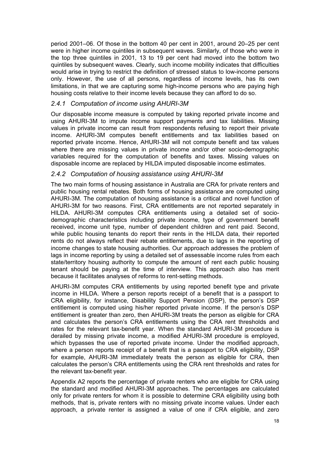<span id="page-24-0"></span>period 2001–06. Of those in the bottom 40 per cent in 2001, around 20–25 per cent were in higher income quintiles in subsequent waves. Similarly, of those who were in the top three quintiles in 2001, 13 to 19 per cent had moved into the bottom two quintiles by subsequent waves. Clearly, such income mobility indicates that difficulties would arise in trying to restrict the definition of stressed status to low-income persons only. However, the use of all persons, regardless of income levels, has its own limitations, in that we are capturing some high-income persons who are paying high housing costs relative to their income levels because they can afford to do so.

#### *2.4.1 Computation of income using AHURI-3M*

Our disposable income measure is computed by taking reported private income and using AHURI-3M to impute income support payments and tax liabilities. Missing values in private income can result from respondents refusing to report their private income. AHURI-3M computes benefit entitlements and tax liabilities based on reported private income. Hence, AHURI-3M will not compute benefit and tax values where there are missing values in private income and/or other socio-demographic variables required for the computation of benefits and taxes. Missing values on disposable income are replaced by HILDA imputed disposable income estimates.

#### *2.4.2 Computation of housing assistance using AHURI-3M*

The two main forms of housing assistance in Australia are CRA for private renters and public housing rental rebates. Both forms of housing assistance are computed using AHURI-3M. The computation of housing assistance is a critical and novel function of AHURI-3M for two reasons. First, CRA entitlements are not reported separately in HILDA. AHURI-3M computes CRA entitlements using a detailed set of sociodemographic characteristics including private income, type of government benefit received, income unit type, number of dependent children and rent paid. Second, while public housing tenants do report their rents in the HILDA data, their reported rents do not always reflect their rebate entitlements, due to lags in the reporting of income changes to state housing authorities. Our approach addresses the problem of lags in income reporting by using a detailed set of assessable income rules from each state/territory housing authority to compute the amount of rent each public housing tenant should be paying at the time of interview. This approach also has merit because it facilitates analyses of reforms to rent-setting methods.

AHURI-3M computes CRA entitlements by using reported benefit type and private income in HILDA. Where a person reports receipt of a benefit that is a passport to CRA eligibility, for instance, Disability Support Pension (DSP), the person's DSP entitlement is computed using his/her reported private income. If the person's DSP entitlement is greater than zero, then AHURI-3M treats the person as eligible for CRA and calculates the person's CRA entitlements using the CRA rent thresholds and rates for the relevant tax-benefit year. When the standard AHURI-3M procedure is derailed by missing private income, a modified AHURI-3M procedure is employed, which bypasses the use of reported private income. Under the modified approach, where a person reports receipt of a benefit that is a passport to CRA eligibility, DSP for example, AHURI-3M immediately treats the person as eligible for CRA, then calculates the person's CRA entitlements using the CRA rent thresholds and rates for the relevant tax-benefit year.

Appendix A2 reports the percentage of private renters who are eligible for CRA using the standard and modified AHURI-3M approaches. The percentages are calculated only for private renters for whom it is possible to determine CRA eligibility using both methods, that is, private renters with no missing private income values. Under each approach, a private renter is assigned a value of one if CRA eligible, and zero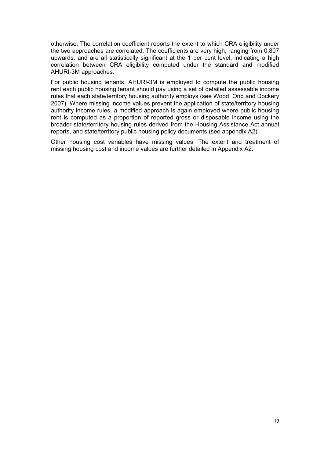otherwise. The correlation coefficient reports the extent to which CRA eligibility under the two approaches are correlated. The coefficients are very high, ranging from 0.807 upwards, and are all statistically significant at the 1 per cent level, indicating a high correlation between CRA eligibility computed under the standard and modified AHURI-3M approaches.

For public housing tenants, AHURI-3M is employed to compute the public housing rent each public housing tenant should pay using a set of detailed assessable income rules that each state/territory housing authority employs (see Wood, Ong and Dockery 2007). Where missing income values prevent the application of state/territory housing authority income rules, a modified approach is again employed where public housing rent is computed as a proportion of reported gross or disposable income using the broader state/territory housing rules derived from the Housing Assistance Act annual reports, and state/territory public housing policy documents (see appendix A2).

Other housing cost variables have missing values. The extent and treatment of missing housing cost and income values are further detailed in Appendix A2.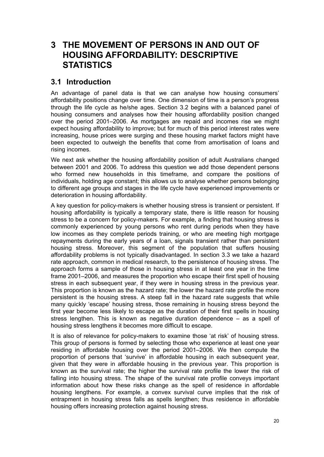## <span id="page-26-0"></span>**3 THE MOVEMENT OF PERSONS IN AND OUT OF HOUSING AFFORDABILITY: DESCRIPTIVE STATISTICS**

### **3.1 Introduction**

An advantage of panel data is that we can analyse how housing consumers' affordability positions change over time. One dimension of time is a person's progress through the life cycle as he/she ages. Section 3.2 begins with a balanced panel of housing consumers and analyses how their housing affordability position changed over the period 2001–2006. As mortgages are repaid and incomes rise we might expect housing affordability to improve; but for much of this period interest rates were increasing, house prices were surging and these housing market factors might have been expected to outweigh the benefits that come from amortisation of loans and rising incomes.

We next ask whether the housing affordability position of adult Australians changed between 2001 and 2006. To address this question we add those dependent persons who formed new households in this timeframe, and compare the positions of individuals, holding age constant; this allows us to analyse whether persons belonging to different age groups and stages in the life cycle have experienced improvements or deterioration in housing affordability.

A key question for policy-makers is whether housing stress is transient or persistent. If housing affordability is typically a temporary state, there is little reason for housing stress to be a concern for policy-makers. For example, a finding that housing stress is commonly experienced by young persons who rent during periods when they have low incomes as they complete periods training, or who are meeting high mortgage repayments during the early years of a loan, signals transient rather than persistent housing stress. Moreover, this segment of the population that suffers housing affordability problems is not typically disadvantaged. In section 3.3 we take a hazard rate approach, common in medical research, to the persistence of housing stress. The approach forms a sample of those in housing stress in at least one year in the time frame 2001–2006, and measures the proportion who escape their first spell of housing stress in each subsequent year, if they were in housing stress in the previous year. This proportion is known as the hazard rate; the lower the hazard rate profile the more persistent is the housing stress. A steep fall in the hazard rate suggests that while many quickly 'escape' housing stress, those remaining in housing stress beyond the first year become less likely to escape as the duration of their first spells in housing stress lengthen. This is known as negative duration dependence – as a spell of housing stress lengthens it becomes more difficult to escape.

It is also of relevance for policy-makers to examine those 'at risk' of housing stress. This group of persons is formed by selecting those who experience at least one year residing in affordable housing over the period 2001–2006. We then compute the proportion of persons that 'survive' in affordable housing in each subsequent year, given that they were in affordable housing in the previous year. This proportion is known as the survival rate; the higher the survival rate profile the lower the risk of falling into housing stress. The shape of the survival rate profile conveys important information about how these risks change as the spell of residence in affordable housing lengthens. For example, a convex survival curve implies that the risk of entrapment in housing stress falls as spells lengthen; thus residence in affordable housing offers increasing protection against housing stress.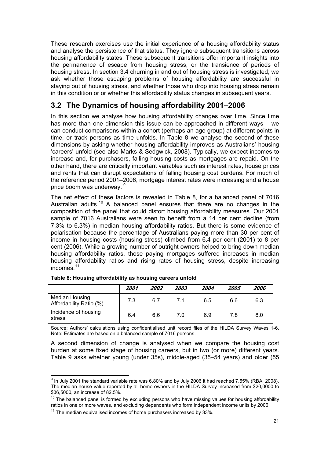<span id="page-27-0"></span>These research exercises use the initial experience of a housing affordability status and analyse the persistence of that status. They ignore subsequent transitions across housing affordability states. These subsequent transitions offer important insights into the permanence of escape from housing stress, or the transience of periods of housing stress. In section 3.4 churning in and out of housing stress is investigated; we ask whether those escaping problems of housing affordability are successful in staying out of housing stress, and whether those who drop into housing stress remain in this condition or or whether this affordability status changes in subsequent years.

## **3.2 The Dynamics of housing affordability 2001–2006**

In this section we analyse how housing affordability changes over time. Since time has more than one dimension this issue can be approached in different ways – we can conduct comparisons within a cohort (perhaps an age group) at different points in time, or track persons as time unfolds. In Table 8 we analyse the second of these dimensions by asking whether housing affordability improves as Australians' housing 'careers' unfold (see also Marks & Sedgwick, 2008). Typically, we expect incomes to increase and, for purchasers, falling housing costs as mortgages are repaid. On the other hand, there are critically important variables such as interest rates, house prices and rents that can disrupt expectations of falling housing cost burdens. For much of the reference period 2001–2006, mortgage interest rates were increasing and a house price boom was underway. [9](#page-27-1)

The net effect of these factors is revealed in Table 8, for a balanced panel of 7016 Australian adults.<sup>[10](#page-27-2)</sup> A balanced panel ensures that there are no changes in the composition of the panel that could distort housing affordability measures. Our 2001 sample of 7016 Australians were seen to benefit from a 14 per cent decline (from 7.3% to 6.3%) in median housing affordability ratios. But there is some evidence of polarisation because the percentage of Australians paying more than 30 per cent of income in housing costs (housing stress) climbed from 6.4 per cent (2001) to 8 per cent (2006). While a growing number of outright owners helped to bring down median housing affordability ratios, those paying mortgages suffered increases in median housing affordability ratios and rising rates of housing stress, despite increasing incomes.[11](#page-27-3)

|                                           | 2001 | 2002 | 2003 | 2004 | 2005 | 2006 |
|-------------------------------------------|------|------|------|------|------|------|
| Median Housing<br>Affordability Ratio (%) | 7.3  | 6.7  | 7.1  | 6.5  | 6.6  | 6.3  |
| Incidence of housing<br>stress            | 6.4  | 6.6  | 7.0  | 6.9  | 7.8  | 8.0  |

**Table 8: Housing affordability as housing careers unfold** 

Source: Authors' calculations using confidentialised unit record files of the HILDA Survey Waves 1-6. Note: Estimates are based on a balanced sample of 7016 persons.

A second dimension of change is analysed when we compare the housing cost burden at some fixed stage of housing careers, but in two (or more) different years. Table 9 asks whether young (under 35s), middle-aged (35–54 years) and older (55

<span id="page-27-1"></span>Under the Standard variable rate was 6.80% and by July 2006 it had reached 7.55% (RBA, 2008).<br>In July 2001 the standard variable rate was 6.80% and by July 2006 it had reached 7.55% (RBA, 2008). The median house value reported by all home owners in the HILDA Survey increased from \$20,0000 to \$36,5000, an increase of 82.5%.

<span id="page-27-2"></span> $10$  The balanced panel is formed by excluding persons who have missing values for housing affordability ratios in one or more waves, and excluding dependents who form independent income units by 2006.

<span id="page-27-3"></span> $11$  The median equivalised incomes of home purchasers increased by 33%.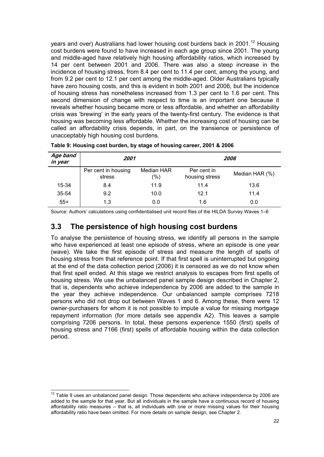<span id="page-28-0"></span>years and over) Australians had lower housing cost burdens back in 2001.<sup>[12](#page-28-1)</sup> Housing cost burdens were found to have increased in each age group since 2001. The young and middle-aged have relatively high housing affordability ratios, which increased by 14 per cent between 2001 and 2006. There was also a steep increase in the incidence of housing stress, from 8.4 per cent to 11.4 per cent, among the young, and from 9.2 per cent to 12.1 per cent among the middle-aged. Older Australians typically have zero housing costs, and this is evident in both 2001 and 2006, but the incidence of housing stress has nonetheless increased from 1.3 per cent to 1.6 per cent. This second dimension of change with respect to time is an important one because it reveals whether housing became more or less affordable, and whether an affordability crisis was 'brewing' in the early years of the twenty-first century. The evidence is that housing was becoming less affordable. Whether the increasing cost of housing can be called an affordability crisis depends, in part, on the transience or persistence of unacceptably high housing cost burdens.

| Age band<br>in year | 2001                          |                       |                               | <i><b>2006</b></i> |
|---------------------|-------------------------------|-----------------------|-------------------------------|--------------------|
|                     | Per cent in housing<br>stress | Median HAR<br>$(\% )$ | Per cent in<br>housing stress | Median HAR (%)     |
| 15-34               | 8.4                           | 11.9                  | 11.4                          | 13.6               |
| 35-54               | 9.2                           | 10.0                  | 12.1                          | 11.4               |
| $55+$               | 1.3                           | 0.0                   | 1.6                           | 0.0                |

**Table 9: Housing cost burden, by stage of housing career, 2001 & 2006** 

Source: Authors' calculations using confidentialised unit record files of the HILDA Survey Waves 1–6

### **3.3 The persistence of high housing cost burdens**

To analyse the persistence of housing stress, we identify all persons in the sample who have experienced at least one episode of stress, where an episode is one year (wave). We take the first episode of stress and measure the length of spells of housing stress from that reference point. If that first spell is uninterrupted but ongoing at the end of the data collection period (2006) it is censored as we do not know when that first spell ended. At this stage we restrict analysis to escapes from first spells of housing stress. We use the unbalanced panel sample design described in Chapter 2, that is, dependents who achieve independence by 2006 are added to the sample in the year they achieve independence. Our unbalanced sample comprises 7218 persons who did not drop out between Waves 1 and 6. Among these, there were 12 owner-purchasers for whom it is not possible to impute a value for missing mortgage repayment information (for more details see appendix A2). This leaves a sample comprising 7206 persons. In total, these persons experience 1550 (first) spells of housing stress and 7166 (first) spells of affordable housing within the data collection period.

<span id="page-28-1"></span> $12$  Table 9 uses an unbalanced panel design. Those dependents who achieve independence by 2006 are added to the sample for that year. But all individuals in the sample have a continuous record of housing affordability ratio measures – that is, all individuals with one or more missing values for their housing affordability ratio have been omitted. For more details on sample design, see Chapter 2.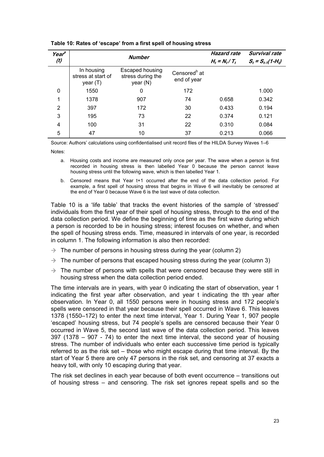| Year <sup>a</sup><br>(t) |                                                | <b>Number</b>                                    |                                         | <b>Hazard rate</b><br>$H_t = N_t / T_t$ | Survival rate<br>$S_t = S_{t-1}(1-H_t)$ |
|--------------------------|------------------------------------------------|--------------------------------------------------|-----------------------------------------|-----------------------------------------|-----------------------------------------|
|                          | In housing<br>stress at start of<br>year $(T)$ | Escaped housing<br>stress during the<br>year (N) | Censored <sup>b</sup> at<br>end of year |                                         |                                         |
| 0                        | 1550                                           | 0                                                | 172                                     |                                         | 1.000                                   |
| 1                        | 1378                                           | 907                                              | 74                                      | 0.658                                   | 0.342                                   |
| 2                        | 397                                            | 172                                              | 30                                      | 0.433                                   | 0.194                                   |
| 3                        | 195                                            | 73                                               | 22                                      | 0.374                                   | 0.121                                   |
| 4                        | 100                                            | 31                                               | 22                                      | 0.310                                   | 0.084                                   |
| 5                        | 47                                             | 10                                               | 37                                      | 0.213                                   | 0.066                                   |

#### <span id="page-29-0"></span>**Table 10: Rates of 'escape' from a first spell of housing stress**

Source: Authors' calculations using confidentialised unit record files of the HILDA Survey Waves 1–6

Notes:

- a. Housing costs and income are measured only once per year. The wave when a person is first recorded in housing stress is then labelled Year 0 because the person cannot leave housing stress until the following wave, which is then labelled Year 1.
- b. Censored means that Year t+1 occurred after the end of the data collection period. For example, a first spell of housing stress that begins in Wave 6 will inevitably be censored at the end of Year 0 because Wave 6 is the last wave of data collection.

Table 10 is a 'life table' that tracks the event histories of the sample of 'stressed' individuals from the first year of their spell of housing stress, through to the end of the data collection period. We define the beginning of time as the first wave during which a person is recorded to be in housing stress; interest focuses on whether, and when the spell of housing stress ends. Time, measured in intervals of one year, is recorded in column 1. The following information is also then recorded:

- $\rightarrow$  The number of persons in housing stress during the year (column 2)
- $\rightarrow$  The number of persons that escaped housing stress during the year (column 3)
- $\rightarrow$  The number of persons with spells that were censored because they were still in housing stress when the data collection period ended.

The time intervals are in years, with year 0 indicating the start of observation, year 1 indicating the first year after observation, and year t indicating the tth year after observation. In Year 0, all 1550 persons were in housing stress and 172 people's spells were censored in that year because their spell occurred in Wave 6. This leaves 1378 (1550–172) to enter the next time interval, Year 1. During Year 1, 907 people 'escaped' housing stress, but 74 people's spells are censored because their Year 0 occurred in Wave 5, the second last wave of the data collection period. This leaves 397 (1378 – 907 - 74) to enter the next time interval, the second year of housing stress. The number of individuals who enter each successive time period is typically referred to as the risk set – those who might escape during that time interval. By the start of Year 5 there are only 47 persons in the risk set, and censoring at 37 exacts a heavy toll, with only 10 escaping during that year.

The risk set declines in each year because of both event occurrence – transitions out of housing stress – and censoring. The risk set ignores repeat spells and so the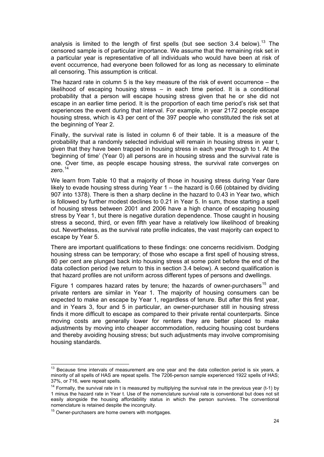analysis is limited to the length of first spells (but see section 3.4 below).<sup>[13](#page-30-0)</sup> The censored sample is of particular importance. We assume that the remaining risk set in a particular year is representative of all individuals who would have been at risk of event occurrence, had everyone been followed for as long as necessary to eliminate all censoring. This assumption is critical.

The hazard rate in column 5 is the key measure of the risk of event occurrence  $-$  the likelihood of escaping housing stress – in each time period. It is a conditional probability that a person will escape housing stress given that he or she did not escape in an earlier time period. It is the proportion of each time period's risk set that experiences the event during that interval. For example, in year 2172 people escape housing stress, which is 43 per cent of the 397 people who constituted the risk set at the beginning of Year 2.

Finally, the survival rate is listed in column 6 of their table. It is a measure of the probability that a randomly selected individual will remain in housing stress in year t, given that they have been trapped in housing stress in each year through to t. At the 'beginning of time' (Year 0) all persons are in housing stress and the survival rate is one. Over time, as people escape housing stress, the survival rate converges on zero $14$ 

We learn from Table 10 that a majority of those in housing stress during Year 0are likely to evade housing stress during Year 1 – the hazard is 0.66 (obtained by dividing 907 into 1378). There is then a sharp decline in the hazard to 0.43 in Year two, which is followed by further modest declines to 0.21 in Year 5. In sum, those starting a spell of housing stress between 2001 and 2006 have a high chance of escaping housing stress by Year 1, but there is negative duration dependence. Those caught in housing stress a second, third, or even fifth year have a relatively low likelihood of breaking out. Nevertheless, as the survival rate profile indicates, the vast majority can expect to escape by Year 5.

There are important qualifications to these findings: one concerns recidivism. Dodging housing stress can be temporary; of those who escape a first spell of housing stress, 80 per cent are plunged back into housing stress at some point before the end of the data collection period (we return to this in section 3.4 below). A second qualification is that hazard profiles are not uniform across different types of persons and dwellings.

Figure 1 compares hazard rates by tenure; the hazards of owner-purchasers<sup>[15](#page-30-2)</sup> and private renters are similar in Year 1. The majority of housing consumers can be expected to make an escape by Year 1, regardless of tenure. But after this first year, and in Years 3, four and 5 in particular, an owner-purchaser still in housing stress finds it more difficult to escape as compared to their private rental counterparts. Since moving costs are generally lower for renters they are better placed to make adjustments by moving into cheaper accommodation, reducing housing cost burdens and thereby avoiding housing stress; but such adjustments may involve compromising housing standards.

<span id="page-30-0"></span> $13$  Because time intervals of measurement are one year and the data collection period is six years, a minority of all spells of HAS are repeat spells. The 7206-person sample experienced 1922 spells of HAS; 37%, or 716, were repeat spells.

<span id="page-30-1"></span> $14$  Formally, the survival rate in t is measured by multiplying the survival rate in the previous year (t-1) by 1 minus the hazard rate in Year t. Use of the nomenclature survival rate is conventional but does not sit easily alongside the housing affordability status in which the person survives. The conventional nomenclature is retained despite the incongruity.

<span id="page-30-2"></span><sup>&</sup>lt;sup>15</sup> Owner-purchasers are home owners with mortgages.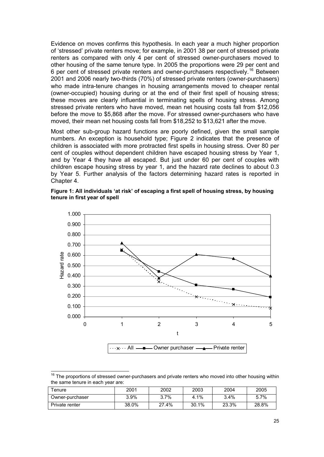<span id="page-31-0"></span>Evidence on moves confirms this hypothesis. In each year a much higher proportion of 'stressed' private renters move; for example, in 2001 38 per cent of stressed private renters as compared with only 4 per cent of stressed owner-purchasers moved to other housing of the same tenure type. In 2005 the proportions were 29 per cent and 6 per cent of stressed private renters and owner-purchasers respectively.[16](#page-31-1) Between 2001 and 2006 nearly two-thirds (70%) of stressed private renters (owner-purchasers) who made intra-tenure changes in housing arrangements moved to cheaper rental (owner-occupied) housing during or at the end of their first spell of housing stress; these moves are clearly influential in terminating spells of housing stress. Among stressed private renters who have moved, mean net housing costs fall from \$12,056 before the move to \$5,868 after the move. For stressed owner-purchasers who have moved, their mean net housing costs fall from \$18,252 to \$13,621 after the move.

Most other sub-group hazard functions are poorly defined, given the small sample numbers. An exception is household type; Figure 2 indicates that the presence of children is associated with more protracted first spells in housing stress. Over 80 per cent of couples without dependent children have escaped housing stress by Year 1, and by Year 4 they have all escaped. But just under 60 per cent of couples with children escape housing stress by year 1, and the hazard rate declines to about 0.3 by Year 5. Further analysis of the factors determining hazard rates is reported in Chapter 4.





  $16$  The proportions of stressed owner-purchasers and private renters who moved into other housing within the same tenure in each year are:

<span id="page-31-1"></span>

| $T$ enure       | 2001  | 2002    | 2003  | 2004    | 2005  |
|-----------------|-------|---------|-------|---------|-------|
| Owner-purchaser | 3.9%  | $3.7\%$ | 4.1%  | $3.4\%$ | 5.7%  |
| Private renter  | 38.0% | 27.4%   | 30.1% | 23.3%   | 28.8% |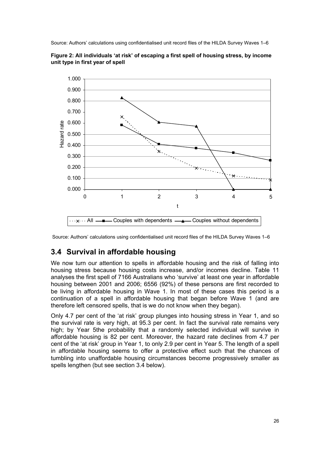<span id="page-32-0"></span>Source: Authors' calculations using confidentialised unit record files of the HILDA Survey Waves 1–6





## **3.4 Survival in affordable housing**

We now turn our attention to spells in affordable housing and the risk of falling into housing stress because housing costs increase, and/or incomes decline. Table 11 analyses the first spell of 7166 Australians who 'survive' at least one year in affordable housing between 2001 and 2006; 6556 (92%) of these persons are first recorded to be living in affordable housing in Wave 1. In most of these cases this period is a continuation of a spell in affordable housing that began before Wave 1 (and are therefore left censored spells, that is we do not know when they began).

Only 4.7 per cent of the 'at risk' group plunges into housing stress in Year 1, and so the survival rate is very high, at 95.3 per cent. In fact the survival rate remains very high; by Year 5the probability that a randomly selected individual will survive in affordable housing is 82 per cent. Moreover, the hazard rate declines from 4.7 per cent of the 'at risk' group in Year 1, to only 2.9 per cent in Year 5. The length of a spell in affordable housing seems to offer a protective effect such that the chances of tumbling into unaffordable housing circumstances become progressively smaller as spells lengthen (but see section 3.4 below).

Source: Authors' calculations using confidentialised unit record files of the HILDA Survey Waves 1–6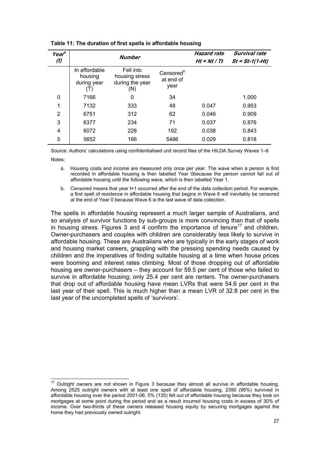| Year <sup>a</sup><br>(t) |                                         | <b>Number</b>                                         |                                            | <b>Hazard rate</b><br>$Ht = Nt / Tt$ | Survival rate<br>$St = St-1(1-Ht)$ |
|--------------------------|-----------------------------------------|-------------------------------------------------------|--------------------------------------------|--------------------------------------|------------------------------------|
|                          | In affordable<br>housing<br>during year | Fell into<br>housing stress<br>during the year<br>(N) | Censored <sup>b</sup><br>at end of<br>year |                                      |                                    |
| 0                        | 7166                                    | 0                                                     | 34                                         |                                      | 1.000                              |
| 1                        | 7132                                    | 333                                                   | 48                                         | 0.047                                | 0.953                              |
| $\overline{2}$           | 6751                                    | 312                                                   | 62                                         | 0.046                                | 0.909                              |
| 3                        | 6377                                    | 234                                                   | 71                                         | 0.037                                | 0.876                              |
| 4                        | 6072                                    | 228                                                   | 192                                        | 0.038                                | 0.843                              |
| 5                        | 5652                                    | 166                                                   | 5486                                       | 0.029                                | 0.818                              |

<span id="page-33-0"></span>

| Table 11: The duration of first spells in affordable housing |
|--------------------------------------------------------------|
|--------------------------------------------------------------|

Source: Authors' calculations using confidentialised unit record files of the HILDA Survey Waves 1–6 Notes:

a. Housing costs and income are measured only once per year. The wave when a person is first recorded in affordable housing is then labelled Year 0because the person cannot fall out of affordable housing until the following wave, which is then labelled Year 1.

b. Censored means that year t+1 occurred after the end of the data collection period. For example, a first spell of residence in affordable housing that begins in Wave 6 will inevitably be censored at the end of Year 0 because Wave 6 is the last wave of data collection.

The spells in affordable housing represent a much larger sample of Australians, and so analysis of survivor functions by sub-groups is more convincing than that of spells in housing stress. Figures 3 and 4 confirm the importance of tenure<sup>[17](#page-33-1)</sup> and children. Owner-purchasers and couples with children are considerably less likely to survive in affordable housing. These are Australians who are typically in the early stages of work and housing market careers, grappling with the pressing spending needs caused by children and the imperatives of finding suitable housing at a time when house prices were booming and interest rates climbing. Most of those dropping out of affordable housing are owner-purchasers – they account for 59.5 per cent of those who failed to survive in affordable housing; only 25.4 per cent are renters. The owner-purchasers that drop out of affordable housing have mean LVRs that were 54.6 per cent in the last year of their spell. This is much higher than a mean LVR of 32.8 per cent in the last year of the uncompleted spells of 'survivors'.

<span id="page-33-1"></span> 17 Outright owners are not shown in Figure 3 because they almost all survive in affordable housing. Among 2525 outright owners with at least one spell of affordable housing, 2390 (95%) survived in affordable housing over the period 2001-06. 5% (135) fell out of affordable housing because they took on mortgages at some point during the period and as a result incurred housing costs in excess of 30% of income. Over two-thirds of these owners released housing equity by securing mortgages against the home they had previously owned outright.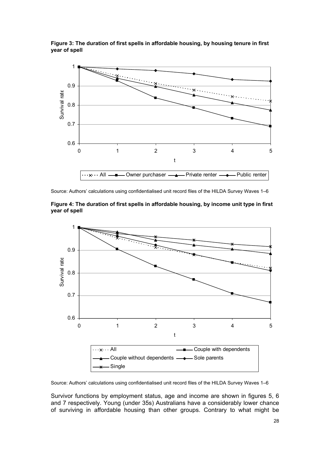<span id="page-34-0"></span>**Figure 3: The duration of first spells in affordable housing, by housing tenure in first year of spell** 



Source: Authors' calculations using confidentialised unit record files of the HILDA Survey Waves 1–6





Source: Authors' calculations using confidentialised unit record files of the HILDA Survey Waves 1–6

Survivor functions by employment status, age and income are shown in figures 5, 6 and 7 respectively. Young (under 35s) Australians have a considerably lower chance of surviving in affordable housing than other groups. Contrary to what might be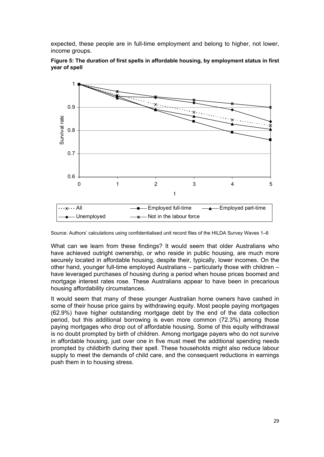<span id="page-35-0"></span>expected, these people are in full-time employment and belong to higher, not lower, income groups.



**Figure 5: The duration of first spells in affordable housing, by employment status in first year of spell** 

Source: Authors' calculations using confidentialised unit record files of the HILDA Survey Waves 1–6

What can we learn from these findings? It would seem that older Australians who have achieved outright ownership, or who reside in public housing, are much more securely located in affordable housing, despite their, typically, lower incomes. On the other hand, younger full-time employed Australians – particularly those with children – have leveraged purchases of housing during a period when house prices boomed and mortgage interest rates rose. These Australians appear to have been in precarious housing affordability circumstances.

It would seem that many of these younger Australian home owners have cashed in some of their house price gains by withdrawing equity. Most people paying mortgages (62.9%) have higher outstanding mortgage debt by the end of the data collection period, but this additional borrowing is even more common (72.3%) among those paying mortgages who drop out of affordable housing. Some of this equity withdrawal is no doubt prompted by birth of children. Among mortgage payers who do not survive in affordable housing, just over one in five must meet the additional spending needs prompted by childbirth during their spell. These households might also reduce labour supply to meet the demands of child care, and the consequent reductions in earnings push them in to housing stress.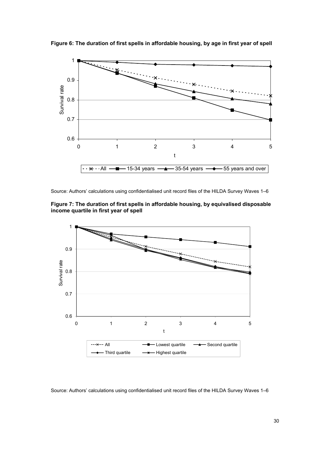

<span id="page-36-0"></span>**Figure 6: The duration of first spells in affordable housing, by age in first year of spell** 

Source: Authors' calculations using confidentialised unit record files of the HILDA Survey Waves 1–6





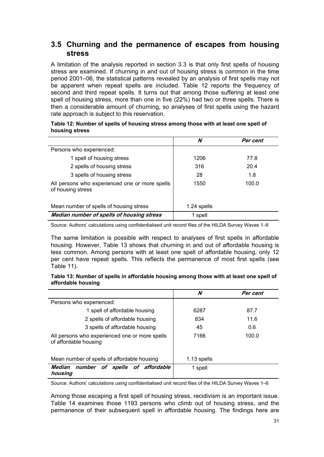## <span id="page-37-0"></span>**3.5 Churning and the permanence of escapes from housing stress**

A limitation of the analysis reported in section 3.3 is that only first spells of housing stress are examined. If churning in and out of housing stress is common in the time period 2001–06, the statistical patterns revealed by an analysis of first spells may not be apparent when repeat spells are included. Table 12 reports the frequency of second and third repeat spells. It turns out that among those suffering at least one spell of housing stress, more than one in five (22%) had two or three spells. There is then a considerable amount of churning, so analyses of first spells using the hazard rate approach is subject to this reservation.

| Table 12: Number of spells of housing stress among those with at least one spell of |  |  |
|-------------------------------------------------------------------------------------|--|--|
| housing stress                                                                      |  |  |

|                                                                     | N           | Per cent |
|---------------------------------------------------------------------|-------------|----------|
| Persons who experienced:                                            |             |          |
| 1 spell of housing stress                                           | 1206        | 77.8     |
| 2 spells of housing stress                                          | 316         | 20.4     |
| 3 spells of housing stress                                          | 28          | 1.8      |
| All persons who experienced one or more spells<br>of housing stress | 1550        | 100.0    |
| Mean number of spells of housing stress                             | 1.24 spells |          |
| Median number of spells of housing stress                           | 1 spell     |          |

Source: Authors' calculations using confidentialised unit record files of the HILDA Survey Waves 1–6

The same limitation is possible with respect to analyses of first spells in affordable housing. However, Table 13 shows that churning in and out of affordable housing is less common. Among persons with at least one spell of affordable housing, only 12 per cent have repeat spells. This reflects the permanence of most first spells (see Table 11).

#### **Table 13: Number of spells in affordable housing among those with at least one spell of affordable housing**

|                                                                         | N           | Per cent |
|-------------------------------------------------------------------------|-------------|----------|
| Persons who experienced:                                                |             |          |
| 1 spell of affordable housing                                           | 6287        | 87.7     |
| 2 spells of affordable housing                                          | 834         | 11.6     |
| 3 spells of affordable housing                                          | 45          | 0.6      |
| All persons who experienced one or more spells<br>of affordable housing | 7166        | 100.0    |
| Mean number of spells of affordable housing                             | 1.13 spells |          |
| Median<br>number of<br>spells of affordable<br>housing                  | 1 spell     |          |

Source: Authors' calculations using confidentialised unit record files of the HILDA Survey Waves 1–6

Among those escaping a first spell of housing stress, recidivism is an important issue. Table 14 examines those 1193 persons who climb out of housing stress, and the permanence of their subsequent spell in affordable housing. The findings here are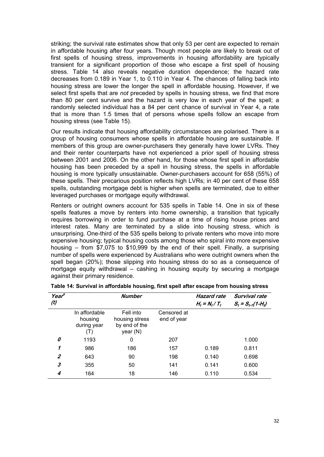<span id="page-38-0"></span>striking; the survival rate estimates show that only 53 per cent are expected to remain in affordable housing after four years. Though most people are likely to break out of first spells of housing stress, improvements in housing affordability are typically transient for a significant proportion of those who escape a first spell of housing stress. Table 14 also reveals negative duration dependence; the hazard rate decreases from 0.189 in Year 1, to 0.110 in Year 4. The chances of falling back into housing stress are lower the longer the spell in affordable housing. However, if we select first spells that are *not* preceded by spells in housing stress, we find that more than 80 per cent survive and the hazard is very low in each year of the spell; a randomly selected individual has a 84 per cent chance of survival in Year 4, a rate that is more than 1.5 times that of persons whose spells follow an escape from housing stress (see Table 15).

Our results indicate that housing affordability circumstances are polarised. There is a group of housing consumers whose spells in affordable housing are sustainable. If members of this group are owner-purchasers they generally have lower LVRs. They and their renter counterparts have not experienced a prior spell of housing stress between 2001 and 2006. On the other hand, for those whose first spell in affordable housing has been preceded by a spell in housing stress, the spells in affordable housing is more typically unsustainable. Owner-purchasers account for 658 (55%) of these spells. Their precarious position reflects high LVRs; in 40 per cent of these 658 spells, outstanding mortgage debt is higher when spells are terminated, due to either leveraged purchases or mortgage equity withdrawal.

Renters or outright owners account for 535 spells in Table 14. One in six of these spells features a move by renters into home ownership, a transition that typically requires borrowing in order to fund purchase at a time of rising house prices and interest rates. Many are terminated by a slide into housing stress, which is unsurprising. One-third of the 535 spells belong to private renters who move into more expensive housing; typical housing costs among those who spiral into more expensive housing – from \$7,075 to \$10,999 by the end of their spell. Finally, a surprising number of spells were experienced by Australians who were outright owners when the spell began (20%); those slipping into housing stress do so as a consequence of mortgage equity withdrawal – cashing in housing equity by securing a mortgage against their primary residence.

| Year <sup>a</sup> |                                         | <b>Number</b>                                            |                            | <b>Hazard rate</b> | Survival rate          |
|-------------------|-----------------------------------------|----------------------------------------------------------|----------------------------|--------------------|------------------------|
| (t)               |                                         |                                                          |                            | $H_t = N_t / T_t$  | $S_t = S_{t-1}(1-H_t)$ |
|                   | In affordable<br>housing<br>during year | Fell into<br>housing stress<br>by end of the<br>year (N) | Censored at<br>end of year |                    |                        |
| 0                 | 1193                                    | 0                                                        | 207                        |                    | 1.000                  |
| 1                 | 986                                     | 186                                                      | 157                        | 0.189              | 0.811                  |
| $\boldsymbol{z}$  | 643                                     | 90                                                       | 198                        | 0.140              | 0.698                  |
| 3                 | 355                                     | 50                                                       | 141                        | 0.141              | 0.600                  |
| 4                 | 164                                     | 18                                                       | 146                        | 0.110              | 0.534                  |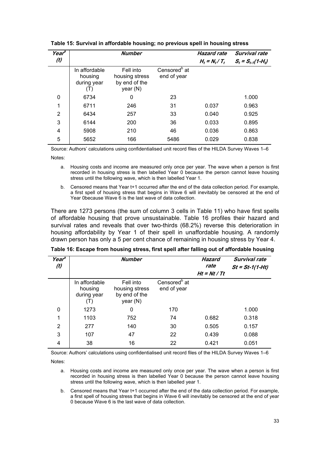| Year <sup>a</sup><br>(t) |                                                | <b>Number</b>                                            |                                         | <b>Hazard rate</b><br>$H_t = N_t / T_t$ | Survival rate<br>$S_t = S_{t-1}(1-H_t)$ |
|--------------------------|------------------------------------------------|----------------------------------------------------------|-----------------------------------------|-----------------------------------------|-----------------------------------------|
|                          | In affordable<br>housing<br>during year<br>(T) | Fell into<br>housing stress<br>by end of the<br>year (N) | Censored <sup>b</sup> at<br>end of year |                                         |                                         |
| 0                        | 6734                                           | 0                                                        | 23                                      |                                         | 1.000                                   |
| 1                        | 6711                                           | 246                                                      | 31                                      | 0.037                                   | 0.963                                   |
| 2                        | 6434                                           | 257                                                      | 33                                      | 0.040                                   | 0.925                                   |
| 3                        | 6144                                           | 200                                                      | 36                                      | 0.033                                   | 0.895                                   |
| 4                        | 5908                                           | 210                                                      | 46                                      | 0.036                                   | 0.863                                   |
| 5                        | 5652                                           | 166                                                      | 5486                                    | 0.029                                   | 0.838                                   |

<span id="page-39-0"></span>**Table 15: Survival in affordable housing; no previous spell in housing stress** 

Source: Authors' calculations using confidentialised unit record files of the HILDA Survey Waves 1–6

Notes:

- a. Housing costs and income are measured only once per year. The wave when a person is first recorded in housing stress is then labelled Year 0 because the person cannot leave housing stress until the following wave, which is then labelled Year 1.
- b. Censored means that Year t+1 occurred after the end of the data collection period. For example, a first spell of housing stress that begins in Wave 6 will inevitably be censored at the end of Year 0because Wave 6 is the last wave of data collection.

There are 1273 persons (the sum of column 3 cells in Table 11) who have first spells of affordable housing that prove unsustainable. Table 16 profiles their hazard and survival rates and reveals that over two-thirds (68.2%) reverse this deterioration in housing affordability by Year 1 of their spell in unaffordable housing. A randomly drawn person has only a 5 per cent chance of remaining in housing stress by Year 4.

| Year <sup>a</sup><br>(t) |                                                | <b>Number</b>                                            |                                         | <b>Hazard</b><br>rate<br>$Ht = Nt / Tt$ | <b>Survival rate</b><br>$St = St-1(1-Ht)$ |
|--------------------------|------------------------------------------------|----------------------------------------------------------|-----------------------------------------|-----------------------------------------|-------------------------------------------|
|                          | In affordable<br>housing<br>during year<br>(1) | Fell into<br>housing stress<br>by end of the<br>year (N) | Censored <sup>b</sup> at<br>end of year |                                         |                                           |
| 0                        | 1273                                           | 0                                                        | 170                                     |                                         | 1.000                                     |
| 1                        | 1103                                           | 752                                                      | 74                                      | 0.682                                   | 0.318                                     |
| $\overline{2}$           | 277                                            | 140                                                      | 30                                      | 0.505                                   | 0.157                                     |
| 3                        | 107                                            | 47                                                       | 22                                      | 0.439                                   | 0.088                                     |
| 4                        | 38                                             | 16                                                       | 22                                      | 0.421                                   | 0.051                                     |

**Table 16: Escape from housing stress, first spell after falling out of affordable housing** 

Source: Authors' calculations using confidentialised unit record files of the HILDA Survey Waves 1–6

Notes:

- a. Housing costs and income are measured only once per year. The wave when a person is first recorded in housing stress is then labelled Year 0 because the person cannot leave housing stress until the following wave, which is then labelled year 1.
- b. Censored means that Year t+1 occurred after the end of the data collection period. For example, a first spell of housing stress that begins in Wave 6 will inevitably be censored at the end of year 0 because Wave 6 is the last wave of data collection.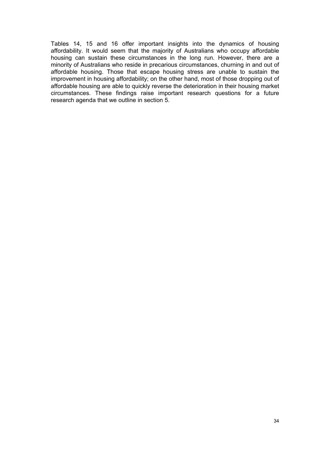Tables 14, 15 and 16 offer important insights into the dynamics of housing affordability. It would seem that the majority of Australians who occupy affordable housing can sustain these circumstances in the long run. However, there are a minority of Australians who reside in precarious circumstances, churning in and out of affordable housing. Those that escape housing stress are unable to sustain the improvement in housing affordability; on the other hand, most of those dropping out of affordable housing are able to quickly reverse the deterioration in their housing market circumstances. These findings raise important research questions for a future research agenda that we outline in section 5.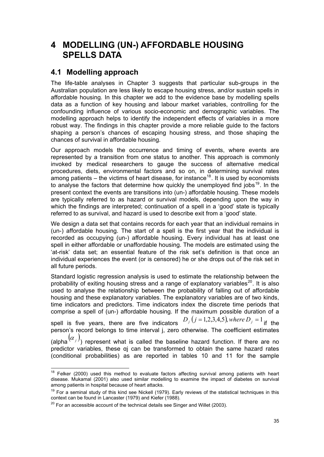## <span id="page-41-0"></span>**4 MODELLING (UN-) AFFORDABLE HOUSING SPELLS DATA**

### **4.1 Modelling approach**

The life-table analyses in Chapter 3 suggests that particular sub-groups in the Australian population are less likely to escape housing stress, and/or sustain spells in affordable housing. In this chapter we add to the evidence base by modelling spells data as a function of key housing and labour market variables, controlling for the confounding influence of various socio-economic and demographic variables. The modelling approach helps to identify the independent effects of variables in a more robust way. The findings in this chapter provide a more reliable guide to the factors shaping a person's chances of escaping housing stress, and those shaping the chances of survival in affordable housing.

Our approach models the occurrence and timing of events, where events are represented by a transition from one status to another. This approach is commonly invoked by medical researchers to gauge the success of alternative medical procedures, diets, environmental factors and so on, in determining survival rates among patients – the victims of heart disease, for instance<sup>[18](#page-41-1)</sup>. It is used by economists to analyse the factors that determine how quickly the unemployed find jobs<sup>[19](#page-41-2)</sup>. In the present context the events are transitions into (un-) affordable housing. These models are typically referred to as hazard or survival models, depending upon the way in which the findings are interpreted; continuation of a spell in a 'good' state is typically referred to as survival, and hazard is used to describe exit from a 'good' state.

We design a data set that contains records for each year that an individual remains in (un-) affordable housing. The start of a spell is the first year that the individual is recorded as occupying (un-) affordable housing. Every individual has at least one spell in either affordable or unaffordable housing. The models are estimated using the 'at-risk' data set; an essential feature of the risk set's definition is that once an individual experiences the event (or is censored) he or she drops out of the risk set in all future periods.

Standard logistic regression analysis is used to estimate the relationship between the probability of exiting housing stress and a range of explanatory variables<sup>[20](#page-41-3)</sup>. It is also used to analyse the relationship between the probability of falling out of affordable housing and these explanatory variables. The explanatory variables are of two kinds, time indicators and predictors. Time indicators index the discrete time periods that comprise a spell of (un-) affordable housing. If the maximum possible duration of a

spell is five years, there are five indicators  $D_j$  ( $j = 1,2,3,4,5$ ), where  $D_j = 1$  if the person's record belongs to time interval j, zero otherwise. The coefficient estimates (alpha  $(\alpha_j)$ ) represent what is called the baseline hazard function. If there are no

predictor variables, these αj can be transformed to obtain the same hazard rates (conditional probabilities) as are reported in tables 10 and 11 for the sample

<span id="page-41-1"></span> $\overline{a}$  $18$  Felker (2000) used this method to evaluate factors affecting survival among patients with heart disease. Mukamal (2001) also used similar modelling to examine the impact of diabetes on survival among patients in hospital because of heart attacks.<br><sup>19</sup> For a seminal study of this kind see Nickell (1979). Early reviews of the statistical techniques in this

<span id="page-41-2"></span>context can be found in Lancaster (1979) and Kiefer (1988).

<span id="page-41-3"></span> $20$  For an accessible account of the technical details see Singer and Willet (2003).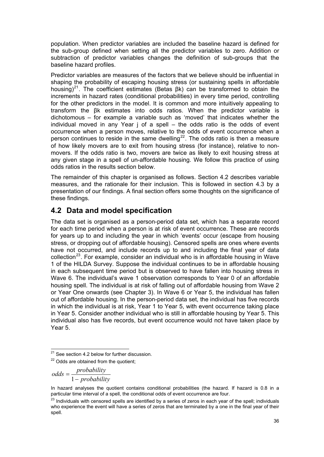<span id="page-42-0"></span>population. When predictor variables are included the baseline hazard is defined for the sub-group defined when setting all the predictor variables to zero. Addition or subtraction of predictor variables changes the definition of sub-groups that the baseline hazard profiles.

Predictor variables are measures of the factors that we believe should be influential in shaping the probability of escaping housing stress (or sustaining spells in affordable housing)<sup>[21](#page-42-1)</sup>. The coefficient estimates (Betas βk) can be transformed to obtain the increments in hazard rates (conditional probabilities) in every time period, controlling for the other predictors in the model. It is common and more intuitively appealing to transform the βk estimates into odds ratios. When the predictor variable is dichotomous – for example a variable such as 'moved' that indicates whether the individual moved in any Year j of a spell – the odds ratio is the odds of event occurrence when a person moves, relative to the odds of event occurrence when a person continues to reside in the same dwelling<sup>[22](#page-42-2)</sup>. The odds ratio is then a measure of how likely movers are to exit from housing stress (for instance), relative to nonmovers. If the odds ratio is two, movers are twice as likely to exit housing stress at any given stage in a spell of un-affordable housing. We follow this practice of using odds ratios in the results section below.

The remainder of this chapter is organised as follows. Section [4.2](#page-42-3) describes variable measures, and the rationale for their inclusion. This is followed in section 4.3 by a presentation of our findings. A final section offers some thoughts on the significance of these findings.

### <span id="page-42-3"></span>**4.2 Data and model specification**

The data set is organised as a person-period data set, which has a separate record for each time period when a person is at risk of event occurrence. These are records for years up to and including the year in which 'events' occur (escape from housing stress, or dropping out of affordable housing). Censored spells are ones where events have not occurred, and include records up to and including the final year of data collection<sup>[23](#page-42-4)</sup>. For example, consider an individual who is in affordable housing in Wave 1 of the HILDA Survey. Suppose the individual continues to be in affordable housing in each subsequent time period but is observed to have fallen into housing stress in Wave 6. The individual's wave 1 observation corresponds to Year 0 of an affordable housing spell. The individual is at risk of falling out of affordable housing from Wave 2 or Year One onwards (see Chapter 3). In Wave 6 or Year 5, the individual has fallen out of affordable housing. In the person-period data set, the individual has five records in which the individual is at risk, Year 1 to Year 5, with event occurrence taking place in Year 5. Consider another individual who is still in affordable housing by Year 5. This individual also has five records, but event occurrence would not have taken place by Year 5.

$$
odds = \frac{probability}{1 - probability}
$$

  $21$  See section 4.2 below for further discussion.

<span id="page-42-2"></span><span id="page-42-1"></span> $22$  Odds are obtained from the quotient;

In hazard analyses the quotient contains conditional probabilities (the hazard. If hazard is 0.8 in a particular time interval of a spell, the conditional odds of event occurrence are four.

<span id="page-42-4"></span> $23$  Individuals with censored spells are identified by a series of zeros in each year of the spell; individuals who experience the event will have a series of zeros that are terminated by a one in the final year of their spell.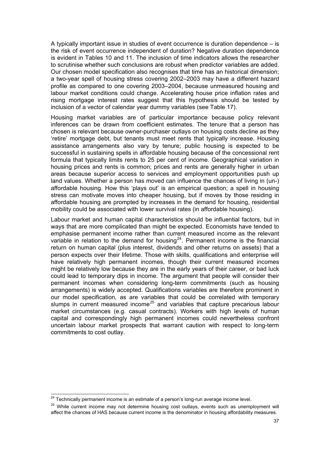A typically important issue in studies of event occurrence is duration dependence – is the risk of event occurrence independent of duration? Negative duration dependence is evident in Tables 10 and 11. The inclusion of time indicators allows the researcher to scrutinise whether such conclusions are robust when predictor variables are added. Our chosen model specification also recognises that time has an historical dimension; a two-year spell of housing stress covering 2002–2003 may have a different hazard profile as compared to one covering 2003–2004, because unmeasured housing and labour market conditions could change. Accelerating house price inflation rates and rising mortgage interest rates suggest that this hypothesis should be tested by inclusion of a vector of calendar year dummy variables (see Table 17).

Housing market variables are of particular importance because policy relevant inferences can be drawn from coefficient estimates. The tenure that a person has chosen is relevant because owner-purchaser outlays on housing costs decline as they 'retire' mortgage debt, but tenants must meet rents that typically increase. Housing assistance arrangements also vary by tenure; public housing is expected to be successful in sustaining spells in affordable housing because of the concessional rent formula that typically limits rents to 25 per cent of income. Geographical variation in housing prices and rents is common; prices and rents are generally higher in urban areas because superior access to services and employment opportunities push up land values. Whether a person has moved can influence the chances of living in (un-) affordable housing. How this 'plays out' is an empirical question; a spell in housing stress can motivate moves into cheaper housing, but if moves by those residing in affordable housing are prompted by increases in the demand for housing, residential mobility could be associated with lower survival rates (in affordable housing).

Labour market and human capital characteristics should be influential factors, but in ways that are more complicated than might be expected. Economists have tended to emphasise permanent income rather than current measured income as the relevant variable in relation to the demand for housing<sup>[24](#page-43-0)</sup>. Permanent income is the financial return on human capital (plus interest, dividends and other returns on assets) that a person expects over their lifetime. Those with skills, qualifications and enterprise will have relatively high permanent incomes, though their current measured incomes might be relatively low because they are in the early years of their career, or bad luck could lead to temporary dips in income. The argument that people will consider their permanent incomes when considering long-term commitments (such as housing arrangements) is widely accepted. Qualifications variables are therefore prominent in our model specification, as are variables that could be correlated with temporary slumps in current measured income<sup>[25](#page-43-1)</sup> and variables that capture precarious labour market circumstances (e.g. casual contracts). Workers with high levels of human capital and correspondingly high permanent incomes could nevertheless confront uncertain labour market prospects that warrant caution with respect to long-term commitments to cost outlay.

<span id="page-43-0"></span><sup>&</sup>lt;sup>24</sup> Technically permanent income is an estimate of a person's long-run average income level.

<span id="page-43-1"></span><sup>&</sup>lt;sup>25</sup> While current income may not determine housing cost outlays, events such as unemployment will affect the chances of HAS because current income is the denominator in housing affordability measures.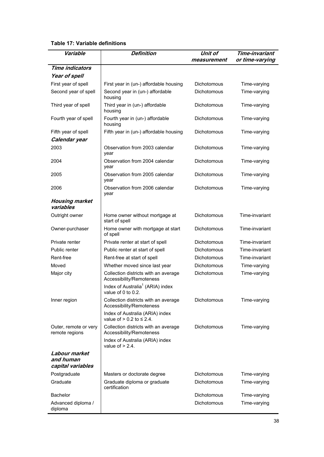#### <span id="page-44-0"></span>**Table 17: Variable definitions**

| Variable                                        | <b>Definition</b>                                                     | Unit of<br>measurement | Time-invariant<br>or time-varying |
|-------------------------------------------------|-----------------------------------------------------------------------|------------------------|-----------------------------------|
| <b>Time indicators</b>                          |                                                                       |                        |                                   |
| Year of spell                                   |                                                                       |                        |                                   |
| First year of spell                             | First year in (un-) affordable housing                                | <b>Dichotomous</b>     | Time-varying                      |
| Second year of spell                            | Second year in (un-) affordable<br>housing                            | Dichotomous            | Time-varying                      |
| Third year of spell                             | Third year in (un-) affordable<br>housing                             | Dichotomous            | Time-varying                      |
| Fourth year of spell                            | Fourth year in (un-) affordable<br>housing                            | <b>Dichotomous</b>     | Time-varying                      |
| Fifth year of spell                             | Fifth year in (un-) affordable housing                                | Dichotomous            | Time-varying                      |
| Calendar year                                   |                                                                       |                        |                                   |
| 2003                                            | Observation from 2003 calendar<br>year                                | Dichotomous            | Time-varying                      |
| 2004                                            | Observation from 2004 calendar<br>year                                | Dichotomous            | Time-varying                      |
| 2005                                            | Observation from 2005 calendar<br>year                                | Dichotomous            | Time-varying                      |
| 2006                                            | Observation from 2006 calendar<br>year                                | Dichotomous            | Time-varying                      |
| <b>Housing market</b><br>variables              |                                                                       |                        |                                   |
| Outright owner                                  | Home owner without mortgage at<br>start of spell                      | Dichotomous            | Time-invariant                    |
| Owner-purchaser                                 | Home owner with mortgage at start<br>of spell                         | Dichotomous            | Time-invariant                    |
| Private renter                                  | Private renter at start of spell                                      | Dichotomous            | Time-invariant                    |
| Public renter                                   | Public renter at start of spell                                       | Dichotomous            | Time-invariant                    |
| Rent-free                                       | Rent-free at start of spell                                           | <b>Dichotomous</b>     | Time-invariant                    |
| Moved                                           | Whether moved since last year                                         | Dichotomous            | Time-varying                      |
| Major city                                      | Collection districts with an average<br>Accessibility/Remoteness      | <b>Dichotomous</b>     | Time-varying                      |
|                                                 | Index of Australia <sup>1</sup> (ARIA) index<br>value of 0 to $0.2$ . |                        |                                   |
| Inner region                                    | Collection districts with an average<br>Accessibility/Remoteness      | Dichotomous            | Time-varying                      |
|                                                 | Index of Australia (ARIA) index<br>value of $> 0.2$ to $\leq 2.4$ .   |                        |                                   |
| Outer, remote or very<br>remote regions         | Collection districts with an average<br>Accessibility/Remoteness      | Dichotomous            | Time-varying                      |
|                                                 | Index of Australia (ARIA) index<br>value of $> 2.4$ .                 |                        |                                   |
| Labour market<br>and human<br>capital variables |                                                                       |                        |                                   |
| Postgraduate                                    | Masters or doctorate degree                                           | Dichotomous            | Time-varying                      |
| Graduate                                        | Graduate diploma or graduate<br>certification                         | Dichotomous            | Time-varying                      |
| <b>Bachelor</b>                                 |                                                                       | Dichotomous            | Time-varying                      |
| Advanced diploma /<br>diploma                   |                                                                       | Dichotomous            | Time-varying                      |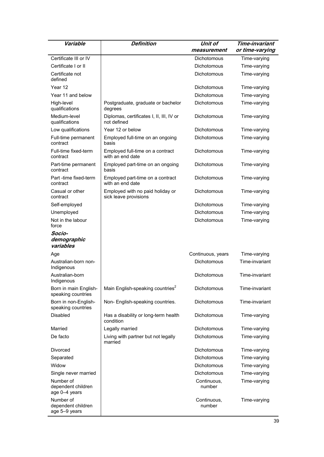| Variable                                         | <b>Definition</b>                                         | <b>Unit of</b>        | Time-invariant  |
|--------------------------------------------------|-----------------------------------------------------------|-----------------------|-----------------|
|                                                  |                                                           | measurement           | or time-varying |
| Certificate III or IV                            |                                                           | Dichotomous           | Time-varying    |
| Certificate I or II                              |                                                           | Dichotomous           | Time-varying    |
| Certificate not<br>defined                       |                                                           | Dichotomous           | Time-varying    |
| Year 12                                          |                                                           | Dichotomous           | Time-varying    |
| Year 11 and below                                |                                                           | Dichotomous           | Time-varying    |
| High-level<br>qualifications                     | Postgraduate, graduate or bachelor<br>degrees             | Dichotomous           | Time-varying    |
| Medium-level<br>qualifications                   | Diplomas, certificates I, II, III, IV or<br>not defined   | Dichotomous           | Time-varying    |
| Low qualifications                               | Year 12 or below                                          | Dichotomous           | Time-varying    |
| Full-time permanent<br>contract                  | Employed full-time on an ongoing<br>basis                 | Dichotomous           | Time-varying    |
| Full-time fixed-term<br>contract                 | Employed full-time on a contract<br>with an end date      | Dichotomous           | Time-varying    |
| Part-time permanent<br>contract                  | Employed part-time on an ongoing<br>basis                 | Dichotomous           | Time-varying    |
| Part -time fixed-term<br>contract                | Employed part-time on a contract<br>with an end date      | Dichotomous           | Time-varying    |
| Casual or other<br>contract                      | Employed with no paid holiday or<br>sick leave provisions | Dichotomous           | Time-varying    |
| Self-employed                                    |                                                           | Dichotomous           | Time-varying    |
| Unemployed                                       |                                                           | Dichotomous           | Time-varying    |
| Not in the labour<br>force                       |                                                           | Dichotomous           | Time-varying    |
| Socio-<br>demographic<br>variables               |                                                           |                       |                 |
| Age                                              |                                                           | Continuous, years     | Time-varying    |
| Australian-born non-<br>Indigenous               |                                                           | Dichotomous           | Time-invariant  |
| Australian-born<br>Indigenous                    |                                                           | Dichotomous           | Time-invariant  |
| Born in main English-<br>speaking countries      | Main English-speaking countries <sup>2</sup>              | Dichotomous           | Time-invariant  |
| Born in non-English-<br>speaking countries       | Non- English-speaking countries.                          | Dichotomous           | Time-invariant  |
| <b>Disabled</b>                                  | Has a disability or long-term health<br>condition         | Dichotomous           | Time-varying    |
| Married                                          | Legally married                                           | Dichotomous           | Time-varying    |
| De facto                                         | Living with partner but not legally<br>married            | Dichotomous           | Time-varying    |
| Divorced                                         |                                                           | Dichotomous           | Time-varying    |
| Separated                                        |                                                           | Dichotomous           | Time-varying    |
| Widow                                            |                                                           | Dichotomous           | Time-varying    |
| Single never married                             |                                                           | Dichotomous           | Time-varying    |
| Number of<br>dependent children<br>age 0-4 years |                                                           | Continuous,<br>number | Time-varying    |
| Number of<br>dependent children<br>age 5-9 years |                                                           | Continuous,<br>number | Time-varying    |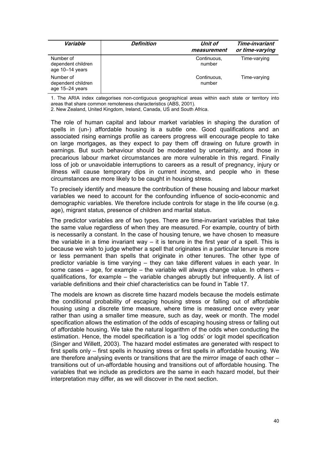| Variable                                           | Definition | Unit of<br>measurement | Time-invariant<br>or time-varying |
|----------------------------------------------------|------------|------------------------|-----------------------------------|
| Number of<br>dependent children<br>age 10-14 years |            | Continuous,<br>number  | Time-varying                      |
| Number of<br>dependent children<br>age 15-24 years |            | Continuous,<br>number  | Time-varying                      |

1. The ARIA index categorises non-contiguous geographical areas within each state or territory into areas that share common remoteness characteristics (ABS, 2001).

2. New Zealand, United Kingdom, Ireland, Canada, US and South Africa.

The role of human capital and labour market variables in shaping the duration of spells in (un-) affordable housing is a subtle one. Good qualifications and an associated rising earnings profile as careers progress will encourage people to take on large mortgages, as they expect to pay them off drawing on future growth in earnings. But such behaviour should be moderated by uncertainty, and those in precarious labour market circumstances are more vulnerable in this regard. Finally loss of job or unavoidable interruptions to careers as a result of pregnancy, injury or illness will cause temporary dips in current income, and people who in these circumstances are more likely to be caught in housing stress.

To precisely identify and measure the contribution of these housing and labour market variables we need to account for the confounding influence of socio-economic and demographic variables. We therefore include controls for stage in the life course (e.g. age), migrant status, presence of children and marital status.

The predictor variables are of two types. There are time-invariant variables that take the same value regardless of when they are measured. For example, country of birth is necessarily a constant. In the case of housing tenure, we have chosen to measure the variable in a time invariant way  $-$  it is tenure in the first year of a spell. This is because we wish to judge whether a spell that originates in a particular tenure is more or less permanent than spells that originate in other tenures. The other type of predictor variable is time varying – they can take different values in each year. In some cases – age, for example – the variable will always change value. In others – qualifications, for example  $-$  the variable changes abruptly but infrequently. A list of variable definitions and their chief characteristics can be found in Table 17.

The models are known as discrete time hazard models because the models estimate the conditional probability of escaping housing stress or falling out of affordable housing using a discrete time measure, where time is measured once every year rather than using a smaller time measure, such as day, week or month. The model specification allows the estimation of the odds of escaping housing stress or falling out of affordable housing. We take the natural logarithm of the odds when conducting the estimation. Hence, the model specification is a 'log odds' or logit model specification (Singer and Willett, 2003). The hazard model estimates are generated with respect to first spells only – first spells in housing stress or first spells in affordable housing. We are therefore analysing events or transitions that are the mirror image of each other – transitions out of un-affordable housing and transitions out of affordable housing. The variables that we include as predictors are the same in each hazard model, but their interpretation may differ, as we will discover in the next section.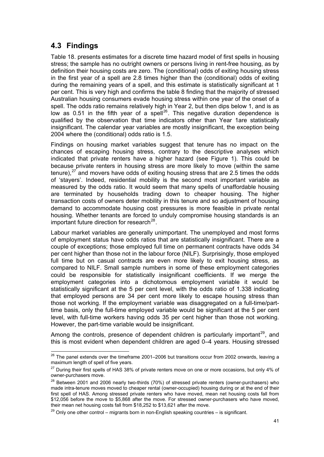## <span id="page-47-0"></span>**4.3 Findings**

Table 18. presents estimates for a discrete time hazard model of first spells in housing stress; the sample has no outright owners or persons living in rent-free housing, as by definition their housing costs are zero. The (conditional) odds of exiting housing stress in the first year of a spell are 2.8 times higher than the (conditional) odds of exiting during the remaining years of a spell, and this estimate is statistically significant at 1 per cent. This is very high and confirms the table 8 finding that the majority of stressed Australian housing consumers evade housing stress within one year of the onset of a spell. The odds ratio remains relatively high in Year 2, but then dips below 1, and is as low as 0.51 in the fifth year of a spell<sup>[26](#page-47-1)</sup>. This negative duration dependence is qualified by the observation that time indicators other than Year 1are statistically insignificant. The calendar year variables are mostly insignificant, the exception being 2004 where the (conditional) odds ratio is 1.5.

Findings on housing market variables suggest that tenure has no impact on the chances of escaping housing stress, contrary to the descriptive analyses which indicated that private renters have a higher hazard (see Figure 1). This could be because private renters in housing stress are more likely to move (within the same tenure), $27$  and movers have odds of exiting housing stress that are 2.5 times the odds of 'stayers'. Indeed, residential mobility is the second most important variable as measured by the odds ratio. It would seem that many spells of unaffordable housing are terminated by households trading down to cheaper housing. The higher transaction costs of owners deter mobility in this tenure and so adjustment of housing demand to accommodate housing cost pressures is more feasible in private rental housing. Whether tenants are forced to unduly compromise housing standards is an important future direction for research $^{28}$  $^{28}$  $^{28}$ .

Labour market variables are generally unimportant. The unemployed and most forms of employment status have odds ratios that are statistically insignificant. There are a couple of exceptions; those employed full time on permanent contracts have odds 34 per cent higher than those not in the labour force (NILF). Surprisingly, those employed full time but on casual contracts are even more likely to exit housing stress, as compared to NILF. Small sample numbers in some of these employment categories could be responsible for statistically insignificant coefficients. If we merge the employment categories into a dichotomous employment variable it would be statistically significant at the 5 per cent level, with the odds ratio of 1.338 indicating that employed persons are 34 per cent more likely to escape housing stress than those not working. If the employment variable was disaggregated on a full-time/parttime basis, only the full-time employed variable would be significant at the 5 per cent level, with full-time workers having odds 35 per cent higher than those not working. However, the part-time variable would be insignificant.

Among the controls, presence of dependent children is particularly important<sup>[29](#page-47-4)</sup>, and this is most evident when dependent children are aged 0–4 years. Housing stressed

<span id="page-47-1"></span> $\overline{a}$  $^{26}$  The panel extends over the timeframe 2001–2006 but transitions occur from 2002 onwards, leaving a maximum length of spell of five years.

<span id="page-47-2"></span><sup>&</sup>lt;sup>27</sup> During their first spells of HAS 38% of private renters move on one or more occasions, but only 4% of owner-purchasers move.

<span id="page-47-3"></span><sup>&</sup>lt;sup>28</sup> Between 2001 and 2006 nearly two-thirds (70%) of stressed private renters (owner-purchasers) who made intra-tenure moves moved to cheaper rental (owner-occupied) housing during or at the end of their first spell of HAS. Among stressed private renters who have moved, mean net housing costs fall from \$12,056 before the move to \$5,868 after the move. For stressed owner-purchasers who have moved,

<span id="page-47-4"></span>their mean net housing costs fall from \$18,252 to \$13,621 after the move.<br><sup>29</sup> Only one other control – migrants born in non-English speaking countries – is significant.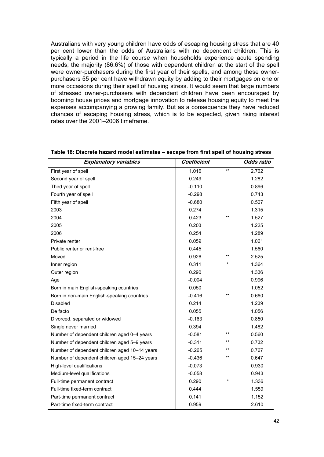<span id="page-48-0"></span>Australians with very young children have odds of escaping housing stress that are 40 per cent lower than the odds of Australians with no dependent children. This is typically a period in the life course when households experience acute spending needs; the majority (86.6%) of those with dependent children at the start of the spell were owner-purchasers during the first year of their spells, and among these ownerpurchasers 55 per cent have withdrawn equity by adding to their mortgages on one or more occasions during their spell of housing stress. It would seem that large numbers of stressed owner-purchasers with dependent children have been encouraged by booming house prices and mortgage innovation to release housing equity to meet the expenses accompanying a growing family. But as a consequence they have reduced chances of escaping housing stress, which is to be expected, given rising interest rates over the 2001–2006 timeframe.

| <b>Explanatory variables</b>                  | Coefficient |       | <b>Odds ratio</b> |
|-----------------------------------------------|-------------|-------|-------------------|
| First year of spell                           | 1.016       | $***$ | 2.762             |
| Second year of spell                          | 0.249       |       | 1.282             |
| Third year of spell                           | $-0.110$    |       | 0.896             |
| Fourth year of spell                          | $-0.298$    |       | 0.743             |
| Fifth year of spell                           | $-0.680$    |       | 0.507             |
| 2003                                          | 0.274       |       | 1.315             |
| 2004                                          | 0.423       | $***$ | 1.527             |
| 2005                                          | 0.203       |       | 1.225             |
| 2006                                          | 0.254       |       | 1.289             |
| Private renter                                | 0.059       |       | 1.061             |
| Public renter or rent-free                    | 0.445       |       | 1.560             |
| Moved                                         | 0.926       | $***$ | 2.525             |
| Inner region                                  | 0.311       |       | 1.364             |
| Outer region                                  | 0.290       |       | 1.336             |
| Age                                           | $-0.004$    |       | 0.996             |
| Born in main English-speaking countries       | 0.050       |       | 1.052             |
| Born in non-main English-speaking countries   | $-0.416$    | $***$ | 0.660             |
| <b>Disabled</b>                               | 0.214       |       | 1.239             |
| De facto                                      | 0.055       |       | 1.056             |
| Divorced, separated or widowed                | $-0.163$    |       | 0.850             |
| Single never married                          | 0.394       |       | 1.482             |
| Number of dependent children aged 0-4 years   | $-0.581$    | $*$   | 0.560             |
| Number of dependent children aged 5-9 years   | $-0.311$    | $*$   | 0.732             |
| Number of dependent children aged 10-14 years | $-0.265$    | $*$   | 0.767             |
| Number of dependent children aged 15-24 years | $-0.436$    | $***$ | 0.647             |
| High-level qualifications                     | $-0.073$    |       | 0.930             |
| Medium-level qualifications                   | $-0.058$    |       | 0.943             |
| Full-time permanent contract                  | 0.290       |       | 1.336             |
| Full-time fixed-term contract                 | 0.444       |       | 1.559             |
| Part-time permanent contract                  | 0.141       |       | 1.152             |
| Part-time fixed-term contract                 | 0.959       |       | 2.610             |

| Table 18: Discrete hazard model estimates - escape from first spell of housing stress |  |  |
|---------------------------------------------------------------------------------------|--|--|
|                                                                                       |  |  |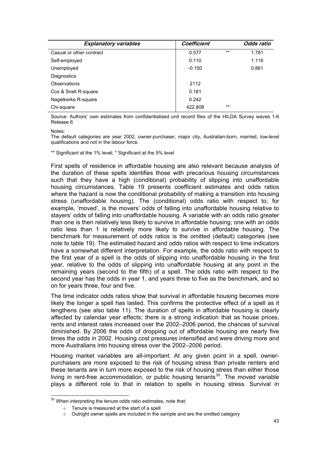| <b>Explanatory variables</b> | Coefficient |       | Odds ratio |
|------------------------------|-------------|-------|------------|
| Casual or other contract     | 0.577       | $***$ | 1.781      |
| Self-employed                | 0.110       |       | 1.116      |
| Unemployed                   | $-0.150$    |       | 0.861      |
| Diagnostics                  |             |       |            |
| Observations                 | 2112        |       |            |
| Cox & Snell R-square         | 0.181       |       |            |
| Nagelkerke R-square          | 0.242       |       |            |
| Chi-square                   | 422.808     | $**$  |            |

Source: Authors' own estimates from confidentialised unit record files of the HILDA Survey waves 1-6 Release 6

#### Notes:

The default categories are year 2002, owner-purchaser, major city, Australian-born, married, low-level qualifications and not in the labour force.

#### \*\* Significant at the 1% level; \* Significant at the 5% level

First spells of residence in affordable housing are also relevant because analysis of the duration of these spells identifies those with precarious housing circumstances such that they have a high (conditional) probability of slipping into unaffordable housing circumstances. Table 19 presents coefficient estimates and odds ratios where the hazard is now the conditional probability of making a transition into housing stress (unaffordable housing). The (conditional) odds ratio with respect to, for example, 'moved', is the movers' odds of falling into unaffordable housing relative to stayers' odds of falling into unaffordable housing. A variable with an odds ratio greater than one is then relatively less likely to survive in affordable housing; one with an odds ratio less than 1 is relatively more likely to survive in affordable housing. The benchmark for measurement of odds ratios is the omitted (default) categories (see note to table 19). The estimated hazard and odds ratios with respect to time indicators have a somewhat different interpretation. For example, the odds ratio with respect to the first year of a spell is the odds of slipping into unaffordable housing in the first year, relative to the odds of slipping into unaffordable housing at any point in the remaining years (second to the fifth) of a spell. The odds ratio with respect to the second year has the odds in year 1, and years three to five as the benchmark, and so on for years three, four and five.

The time indicator odds ratios show that survival in affordable housing becomes more likely the longer a spell has lasted. This confirms the protective effect of a spell as it lengthens (see also table 11). The duration of spells in affordable housing is clearly affected by calendar year effects; there is a strong indication that as house prices, rents and interest rates increased over the 2002–2006 period, the chances of survival diminished. By 2006 the odds of dropping out of affordable housing are nearly five times the odds in 2002. Housing cost pressures intensified and were driving more and more Australians into housing stress over the 2002–2006 period.

Housing market variables are all-important. At any given point in a spell, ownerpurchasers are more exposed to the risk of housing stress than private renters and these tenants are in turn more exposed to the risk of housing stress than either those living in rent-free accommodation, or public housing tenants<sup>[30](#page-49-0)</sup>. The moved variable plays a different role to that in relation to spells in housing stress. Survival in

<span id="page-49-0"></span>  $30$  When interpreting the tenure odds ratio estimates, note that;

 $\rightarrow$  Tenure is measured at the start of a spell

 $\rightarrow$  Outright owner spells are included in the sample and are the omitted category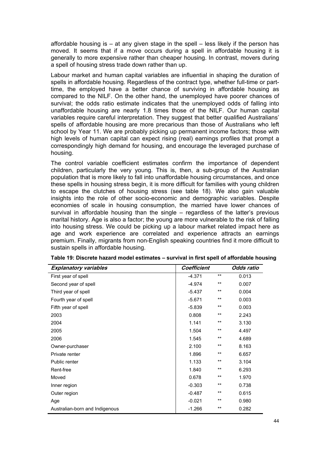<span id="page-50-0"></span>affordable housing is  $-$  at any given stage in the spell  $-$  less likely if the person has moved. It seems that if a move occurs during a spell in affordable housing it is generally to more expensive rather than cheaper housing. In contrast, movers during a spell of housing stress trade down rather than up.

Labour market and human capital variables are influential in shaping the duration of spells in affordable housing. Regardless of the contract type, whether full-time or parttime, the employed have a better chance of surviving in affordable housing as compared to the NILF. On the other hand, the unemployed have poorer chances of survival; the odds ratio estimate indicates that the unemployed odds of falling into unaffordable housing are nearly 1.8 times those of the NILF. Our human capital variables require careful interpretation. They suggest that better qualified Australians' spells of affordable housing are more precarious than those of Australians who left school by Year 11. We are probably picking up permanent income factors; those with high levels of human capital can expect rising (real) earnings profiles that prompt a correspondingly high demand for housing, and encourage the leveraged purchase of housing.

The control variable coefficient estimates confirm the importance of dependent children, particularly the very young. This is, then, a sub-group of the Australian population that is more likely to fall into unaffordable housing circumstances, and once these spells in housing stress begin, it is more difficult for families with young children to escape the clutches of housing stress (see table 18). We also gain valuable insights into the role of other socio-economic and demographic variables. Despite economies of scale in housing consumption, the married have lower chances of survival in affordable housing than the single – regardless of the latter's previous marital history. Age is also a factor; the young are more vulnerable to the risk of falling into housing stress. We could be picking up a labour market related impact here as age and work experience are correlated and experience attracts an earnings premium. Finally, migrants from non-English speaking countries find it more difficult to sustain spells in affordable housing.

| <b>Explanatory variables</b>   | Coefficient |       | Odds ratio |
|--------------------------------|-------------|-------|------------|
| First year of spell            | $-4.371$    | **    | 0.013      |
| Second year of spell           | $-4.974$    | **    | 0.007      |
| Third year of spell            | -5.437      | **    | 0.004      |
| Fourth year of spell           | $-5.671$    | **    | 0.003      |
| Fifth year of spell            | $-5.839$    | **    | 0.003      |
| 2003                           | 0.808       | **    | 2.243      |
| 2004                           | 1.141       | **    | 3.130      |
| 2005                           | 1.504       | **    | 4.497      |
| 2006                           | 1.545       | $**$  | 4.689      |
| Owner-purchaser                | 2.100       | $***$ | 8.163      |
| Private renter                 | 1.896       | $***$ | 6.657      |
| Public renter                  | 1.133       | **    | 3.104      |
| Rent-free                      | 1.840       | $***$ | 6.293      |
| Moved                          | 0.678       | **    | 1.970      |
| Inner region                   | $-0.303$    | **    | 0.738      |
| Outer region                   | $-0.487$    | **    | 0.615      |
| Age                            | $-0.021$    | $***$ | 0.980      |
| Australian-born and Indigenous | $-1.266$    | $***$ | 0.282      |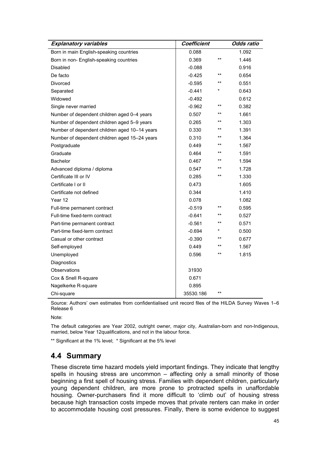<span id="page-51-0"></span>

| <b>Explanatory variables</b>                  | Coefficient |       | Odds ratio |
|-----------------------------------------------|-------------|-------|------------|
| Born in main English-speaking countries       | 0.088       |       | 1.092      |
| Born in non- English-speaking countries       | 0.369       | $**$  | 1.446      |
| Disabled                                      | $-0.088$    |       | 0.916      |
| De facto                                      | $-0.425$    | $***$ | 0.654      |
| Divorced                                      | $-0.595$    | $**$  | 0.551      |
| Separated                                     | $-0.441$    | *     | 0.643      |
| Widowed                                       | $-0.492$    |       | 0.612      |
| Single never married                          | $-0.962$    | $*$   | 0.382      |
| Number of dependent children aged 0-4 years   | 0.507       | $***$ | 1.661      |
| Number of dependent children aged 5-9 years   | 0.265       | $**$  | 1.303      |
| Number of dependent children aged 10-14 years | 0.330       | $***$ | 1.391      |
| Number of dependent children aged 15-24 years | 0.310       | $***$ | 1.364      |
| Postgraduate                                  | 0.449       | $***$ | 1.567      |
| Graduate                                      | 0.464       | $***$ | 1.591      |
| <b>Bachelor</b>                               | 0.467       | $***$ | 1.594      |
| Advanced diploma / diploma                    | 0.547       | $***$ | 1.728      |
| Certificate III or IV                         | 0.285       | $***$ | 1.330      |
| Certificate I or II                           | 0.473       |       | 1.605      |
| Certificate not defined                       | 0.344       |       | 1.410      |
| Year 12                                       | 0.078       |       | 1.082      |
| Full-time permanent contract                  | $-0.519$    | $***$ | 0.595      |
| Full-time fixed-term contract                 | $-0.641$    | $***$ | 0.527      |
| Part-time permanent contract                  | $-0.561$    | $***$ | 0.571      |
| Part-time fixed-term contract                 | $-0.694$    |       | 0.500      |
| Casual or other contract                      | $-0.390$    | $***$ | 0.677      |
| Self-employed                                 | 0.449       | $***$ | 1.567      |
| Unemployed                                    | 0.596       | $***$ | 1.815      |
| Diagnostics                                   |             |       |            |
| Observations                                  | 31930       |       |            |
| Cox & Snell R-square                          | 0.671       |       |            |
| Nagelkerke R-square                           | 0.895       |       |            |
| Chi-square                                    | 35530.186   | $***$ |            |

Source: Authors' own estimates from confidentialised unit record files of the HILDA Survey Waves 1–6 Release 6

Note:

The default categories are Year 2002, outright owner, major city, Australian-born and non-Indigenous, married, below Year 12qualifications, and not in the labour force.

\*\* Significant at the 1% level; \* Significant at the 5% level

### **4.4 Summary**

These discrete time hazard models yield important findings. They indicate that lengthy spells in housing stress are uncommon – affecting only a small minority of those beginning a first spell of housing stress. Families with dependent children, particularly young dependent children, are more prone to protracted spells in unaffordable housing. Owner-purchasers find it more difficult to 'climb out' of housing stress because high transaction costs impede moves that private renters can make in order to accommodate housing cost pressures. Finally, there is some evidence to suggest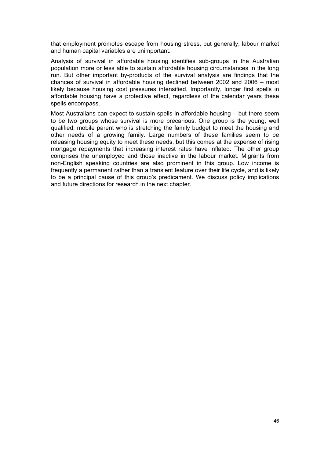that employment promotes escape from housing stress, but generally, labour market and human capital variables are unimportant.

Analysis of survival in affordable housing identifies sub-groups in the Australian population more or less able to sustain affordable housing circumstances in the long run. But other important by-products of the survival analysis are findings that the chances of survival in affordable housing declined between 2002 and 2006 – most likely because housing cost pressures intensified. Importantly, longer first spells in affordable housing have a protective effect, regardless of the calendar years these spells encompass.

Most Australians can expect to sustain spells in affordable housing – but there seem to be two groups whose survival is more precarious. One group is the young, well qualified, mobile parent who is stretching the family budget to meet the housing and other needs of a growing family. Large numbers of these families seem to be releasing housing equity to meet these needs, but this comes at the expense of rising mortgage repayments that increasing interest rates have inflated. The other group comprises the unemployed and those inactive in the labour market. Migrants from non-English speaking countries are also prominent in this group. Low income is frequently a permanent rather than a transient feature over their life cycle, and is likely to be a principal cause of this group's predicament. We discuss policy implications and future directions for research in the next chapter.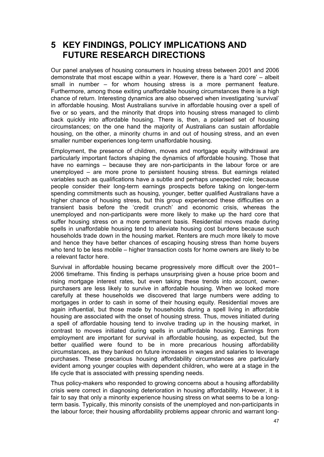## <span id="page-53-0"></span>**5 KEY FINDINGS, POLICY IMPLICATIONS AND FUTURE RESEARCH DIRECTIONS**

Our panel analyses of housing consumers in housing stress between 2001 and 2006 demonstrate that most escape within a year. However, there is a 'hard core' – albeit small in number – for whom housing stress is a more permanent feature. Furthermore, among those exiting unaffordable housing circumstances there is a high chance of return. Interesting dynamics are also observed when investigating 'survival' in affordable housing. Most Australians survive in affordable housing over a spell of five or so years, and the minority that drops into housing stress managed to climb back quickly into affordable housing. There is, then, a polarised set of housing circumstances; on the one hand the majority of Australians can sustain affordable housing, on the other, a minority churns in and out of housing stress, and an even smaller number experiences long-term unaffordable housing.

Employment, the presence of children, moves and mortgage equity withdrawal are particularly important factors shaping the dynamics of affordable housing. Those that have no earnings – because they are non-participants in the labour force or are unemployed – are more prone to persistent housing stress. But earnings related variables such as qualifications have a subtle and perhaps unexpected role; because people consider their long-term earnings prospects before taking on longer-term spending commitments such as housing, younger, better qualified Australians have a higher chance of housing stress, but this group experienced these difficulties on a transient basis before the 'credit crunch' and economic crisis, whereas the unemployed and non-participants were more likely to make up the hard core that suffer housing stress on a more permanent basis. Residential moves made during spells in unaffordable housing tend to alleviate housing cost burdens because such households trade down in the housing market. Renters are much more likely to move and hence they have better chances of escaping housing stress than home buyers who tend to be less mobile – higher transaction costs for home owners are likely to be a relevant factor here.

Survival in affordable housing became progressively more difficult over the 2001– 2006 timeframe. This finding is perhaps unsurprising given a house price boom and rising mortgage interest rates, but even taking these trends into account, ownerpurchasers are less likely to survive in affordable housing. When we looked more carefully at these households we discovered that large numbers were adding to mortgages in order to cash in some of their housing equity. Residential moves are again influential, but those made by households during a spell living in affordable housing are associated with the onset of housing stress. Thus, moves initiated during a spell of affordable housing tend to involve trading up in the housing market, in contrast to moves initiated during spells in unaffordable housing. Earnings from employment are important for survival in affordable housing, as expected, but the better qualified were found to be in more precarious housing affordability circumstances, as they banked on future increases in wages and salaries to leverage purchases. These precarious housing affordability circumstances are particularly evident among younger couples with dependent children, who were at a stage in the life cycle that is associated with pressing spending needs.

Thus policy-makers who responded to growing concerns about a housing affordability crisis were correct in diagnosing deterioration in housing affordability. However, it is fair to say that only a minority experience housing stress on what seems to be a longterm basis. Typically, this minority consists of the unemployed and non-participants in the labour force; their housing affordability problems appear chronic and warrant long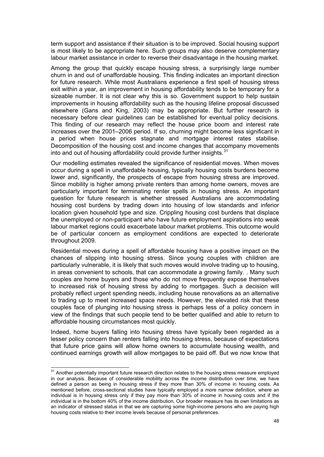term support and assistance if their situation is to be improved. Social housing support is most likely to be appropriate here. Such groups may also deserve complementary labour market assistance in order to reverse their disadvantage in the housing market.

Among the group that quickly escape housing stress, a surprisingly large number churn in and out of unaffordable housing. This finding indicates an important direction for future research. While most Australians experience a first spell of housing stress exit within a year, an improvement in housing affordability tends to be temporary for a sizeable number. It is not clear why this is so. Government support to help sustain improvements in housing affordability such as the housing lifeline proposal discussed elsewhere (Gans and King, 2003) may be appropriate. But further research is necessary before clear guidelines can be established for eventual policy decisions. This finding of our research may reflect the house price boom and interest rate increases over the 2001–2006 period. If so, churning might become less significant in a period when house prices stagnate and mortgage interest rates stabilise. Decomposition of the housing cost and income changes that accompany movements into and out of housing affordability could provide further insights. $31$ 

Our modelling estimates revealed the significance of residential moves. When moves occur during a spell in unaffordable housing, typically housing costs burdens become lower and, significantly, the prospects of escape from housing stress are improved. Since mobility is higher among private renters than among home owners, moves are particularly important for terminating renter spells in housing stress. An important question for future research is whether stressed Australians are accommodating housing cost burdens by trading down into housing of low standards and inferior location given household type and size. Crippling housing cost burdens that displace the unemployed or non-participant who have future employment aspirations into weak labour market regions could exacerbate labour market problems. This outcome would be of particular concern as employment conditions are expected to deteriorate throughout 2009.

Residential moves during a spell of affordable housing have a positive impact on the chances of slipping into housing stress. Since young couples with children are particularly vulnerable, it is likely that such moves would involve trading up to housing, in areas convenient to schools, that can accommodate a growing family. . Many such couples are home buyers and those who do not move frequently expose themselves to increased risk of housing stress by adding to mortgages. Such a decision will probably reflect urgent spending needs, including house renovations as an alternative to trading up to meet increased space needs. However, the elevated risk that these couples face of plunging into housing stress is perhaps less of a policy concern in view of the findings that such people tend to be better qualified and able to return to affordable housing circumstances most quickly.

Indeed, home buyers falling into housing stress have typically been regarded as a lesser policy concern than renters falling into housing stress, because of expectations that future price gains will allow home owners to accumulate housing wealth, and continued earnings growth will allow mortgages to be paid off. But we now know that

<span id="page-54-0"></span> $31$  Another potentially important future research direction relates to the housing stress measure employed in our analysis. Because of considerable mobility across the income distribution over time, we have defined a person as being in housing stress if they more than 30% of income in housing costs. As mentioned before, cross-sectional studies have typically employed a more narrow definition, where an individual is in housing stress only if they pay more than 30% of income in housing costs and if the individual is in the bottom 40% of the income distribution. Our broader measure has its own limitations as an indicator of stressed status in that we are capturing some high-income persons who are paying high housing costs relative to their income levels because of personal preferences.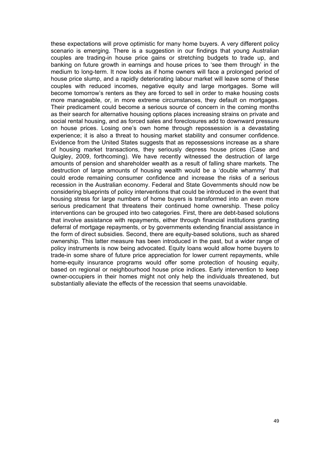these expectations will prove optimistic for many home buyers. A very different policy scenario is emerging. There is a suggestion in our findings that young Australian couples are trading-in house price gains or stretching budgets to trade up, and banking on future growth in earnings and house prices to 'see them through' in the medium to long-term. It now looks as if home owners will face a prolonged period of house price slump, and a rapidly deteriorating labour market will leave some of these couples with reduced incomes, negative equity and large mortgages. Some will become tomorrow's renters as they are forced to sell in order to make housing costs more manageable, or, in more extreme circumstances, they default on mortgages. Their predicament could become a serious source of concern in the coming months as their search for alternative housing options places increasing strains on private and social rental housing, and as forced sales and foreclosures add to downward pressure on house prices. Losing one's own home through repossession is a devastating experience; it is also a threat to housing market stability and consumer confidence. Evidence from the United States suggests that as repossessions increase as a share of housing market transactions, they seriously depress house prices (Case and Quigley, 2009, forthcoming). We have recently witnessed the destruction of large amounts of pension and shareholder wealth as a result of falling share markets. The destruction of large amounts of housing wealth would be a 'double whammy' that could erode remaining consumer confidence and increase the risks of a serious recession in the Australian economy. Federal and State Governments should now be considering blueprints of policy interventions that could be introduced in the event that housing stress for large numbers of home buyers is transformed into an even more serious predicament that threatens their continued home ownership. These policy interventions can be grouped into two categories. First, there are debt-based solutions that involve assistance with repayments, either through financial institutions granting deferral of mortgage repayments, or by governments extending financial assistance in the form of direct subsidies. Second, there are equity-based solutions, such as shared ownership. This latter measure has been introduced in the past, but a wider range of policy instruments is now being advocated. Equity loans would allow home buyers to trade-in some share of future price appreciation for lower current repayments, while home-equity insurance programs would offer some protection of housing equity, based on regional or neighbourhood house price indices. Early intervention to keep owner-occupiers in their homes might not only help the individuals threatened, but substantially alleviate the effects of the recession that seems unavoidable.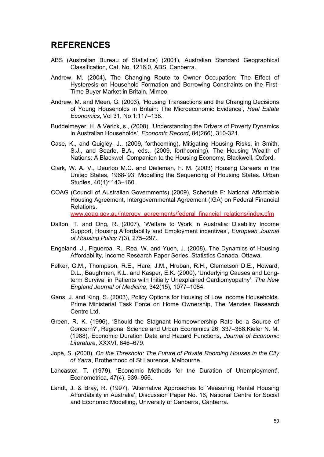## <span id="page-56-0"></span>**REFERENCES**

- ABS (Australian Bureau of Statistics) (2001), Australian Standard Geographical Classification, Cat. No. 1216.0, ABS, Canberra.
- Andrew, M. (2004), The Changing Route to Owner Occupation: The Effect of Hysteresis on Household Formation and Borrowing Constraints on the First-Time Buyer Market in Britain, Mimeo
- Andrew, M. and Meen, G. (2003), 'Housing Transactions and the Changing Decisions of Young Households in Britain: The Microeconomic Evidence', *Real Estate Economics*, Vol 31, No 1:117–138.
- Buddelmeyer, H. & Verick, s., (2008), 'Understanding the Drivers of Poverty Dynamics in Australian Households', *Economic Record*, 84(266), 310-321.
- Case, K., and Quigley, J., (2009, forthcoming), Mitigating Housing Risks, in Smith, S.J., and Searle, B.A., eds., (2009, forthcoming), The Housing Wealth of Nations: A Blackwell Companion to the Housing Economy, Blackwell, Oxford.
- Clark, W. A. V., Deurloo M.C. and Dieleman, F. M. (2003) Housing Careers in the United States, 1968-'93: Modelling the Sequencing of Housing States. Urban Studies, 40(1): 143–160.
- COAG (Council of Australian Governments) (2009), Schedule F: National Affordable Housing Agreement, Intergovernmental Agreement (IGA) on Federal Financial Relations.

www.coag.gov.au/intergov\_agreements/federal\_financial\_relations/index.cfm

- Dalton, T. and Ong, R. (2007), 'Welfare to Work in Australia: Disability Income Support, Housing Affordability and Employment incentives', *European Journal of Housing Policy* 7(3), 275–297.
- Engeland, J., Figueroa, R., Rea, W. and Yuen, J. (2008), The Dynamics of Housing Affordability, Income Research Paper Series, Statistics Canada, Ottawa.
- Felker, G.M., Thompson, R.E., Hare, J.M., Hruban, R.H., Clemetson D.E., Howard, D.L., Baughman, K.L. and Kasper, E.K. (2000), 'Underlying Causes and Longterm Survival in Patients with Initially Unexplained Cardiomyopathy', *The New England Journal of Medicine*, 342(15), 1077–1084.
- Gans, J. and King, S. (2003), Policy Options for Housing of Low Income Households. Prime Ministerial Task Force on Home Ownership, The Menzies Research Centre Ltd.
- Green, R. K. (1996), 'Should the Stagnant Homeownership Rate be a Source of Concern?', Regional Science and Urban Economics 26, 337–368.Kiefer N. M. (1988), Economic Duration Data and Hazard Functions, *Journal of Economic Literature*, XXXVI, 646–679.
- Jope, S. (2000), *On the Threshold: The Future of Private Rooming Houses in the City of Yarra*, Brotherhood of St Laurence, Melbourne.
- Lancaster, T. (1979), 'Economic Methods for the Duration of Unemployment', Econometrica, 47(4), 939–956.
- Landt, J. & Bray, R. (1997), 'Alternative Approaches to Measuring Rental Housing Affordability in Australia', Discussion Paper No. 16, National Centre for Social and Economic Modelling, University of Canberra, Canberra.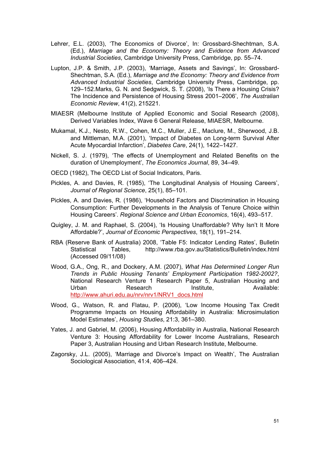- Lehrer, E.L. (2003), 'The Economics of Divorce', In: Grossbard-Shechtman, S.A. (Ed.), *Marriage and the Economy: Theory and Evidence from Advanced Industrial Societies*, Cambridge University Press, Cambridge, pp. 55–74.
- Lupton, J.P. & Smith, J.P. (2003), 'Marriage, Assets and Savings', In: Grossbard-Shechtman, S.A. (Ed.), *Marriage and the Economy: Theory and Evidence from Advanced Industrial Societies*, Cambridge University Press, Cambridge, pp. 129–152.Marks, G. N. and Sedgwick, S. T. (2008), 'Is There a Housing Crisis? The Incidence and Persistence of Housing Stress 2001–2006', *The Australian Economic Review*, 41(2), 215221.
- MIAESR (Melbourne Institute of Applied Economic and Social Research (2008), Derived Variables Index, Wave 6 General Release, MIAESR, Melbourne.
- Mukamal, K.J., Nesto, R.W., Cohen, M.C., Muller, J.E., Maclure, M., Sherwood, J.B. and Mittleman, M.A. (2001), 'Impact of Diabetes on Long-term Survival After Acute Myocardial Infarction', *Diabetes Care*, 24(1), 1422–1427.
- Nickell, S. J. (1979), 'The effects of Unemployment and Related Benefits on the duration of Unemployment', *The Economics Journal*, 89, 34–49.
- OECD (1982), The OECD List of Social Indicators, Paris.
- Pickles, A. and Davies, R. (1985), 'The Longitudinal Analysis of Housing Careers', *Journal of Regional Science*, 25(1), 85–101.
- Pickles, A. and Davies, R. (1986), 'Household Factors and Discrimination in Housing Consumption: Further Developments in the Analysis of Tenure Choice within Housing Careers'. *Regional Science and Urban Economics*, 16(4), 493–517.
- Quigley, J. M. and Raphael, S. (2004), 'Is Housing Unaffordable? Why Isn't It More Affordable?', *Journal of Economic Perspectives*, 18(1), 191–214.
- RBA (Reserve Bank of Australia) 2008, 'Table F5: Indicator Lending Rates', Bulletin Statistical Tables, http://www.rba.gov.au/Statistics/Bulletin/index.html (Accessed 09/11/08)
- Wood, G.A., Ong, R., and Dockery, A.M. (2007), *What Has Determined Longer Run Trends in Public Housing Tenants' Employment Participation 1982-2002?*, National Research Venture 1 Research Paper 5, Australian Housing and Urban **Research Institute, Available:** Urban Research Institute, [http://www.ahuri.edu.au/nrv/nrv1/NRV1\\_docs.html](http://www.ahuri.edu.au/nrv/nrv1/NRV1_docs.html)
- Wood, G., Watson, R. and Flatau, P. (2006), 'Low Income Housing Tax Credit Programme Impacts on Housing Affordability in Australia: Microsimulation Model Estimates', *Housing Studies*, 21:3, 361–380.
- Yates, J. and Gabriel, M. (2006), Housing Affordability in Australia, National Research Venture 3: Housing Affordability for Lower Income Australians, Research Paper 3, Australian Housing and Urban Research Institute, Melbourne.
- Zagorsky, J.L. (2005), 'Marriage and Divorce's Impact on Wealth', The Australian Sociological Association, 41:4, 406–424.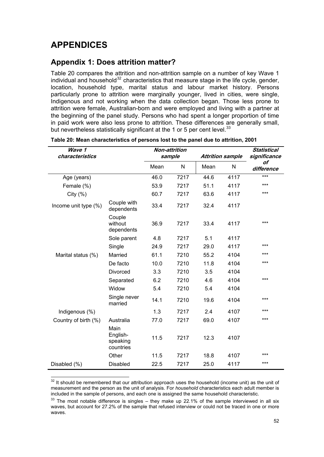## <span id="page-58-0"></span>**APPENDICES**

## **Appendix 1: Does attrition matter?**

Table 20 compares the attrition and non-attrition sample on a number of key Wave 1 individual and household<sup>[32](#page-58-1)</sup> characteristics that measure stage in the life cycle, gender, location, household type, marital status and labour market history. Persons particularly prone to attrition were marginally younger, lived in cities, were single, Indigenous and not working when the data collection began. Those less prone to attrition were female, Australian-born and were employed and living with a partner at the beginning of the panel study. Persons who had spent a longer proportion of time in paid work were also less prone to attrition. These differences are generally small, but nevertheless statistically significant at the 1 or 5 per cent level.<sup>[33](#page-58-2)</sup>

| Wave 1<br>characteristics |                                           | <b>Non-attrition</b><br>sample |      |      | <b>Attrition sample</b> | <b>Statistical</b><br>significance |  |
|---------------------------|-------------------------------------------|--------------------------------|------|------|-------------------------|------------------------------------|--|
|                           |                                           | Mean                           | N    | Mean | N                       | οf<br>difference                   |  |
| Age (years)               |                                           | 46.0                           | 7217 | 44.6 | 4117                    | $***$                              |  |
| Female (%)                |                                           | 53.9                           | 7217 | 51.1 | 4117                    | ***                                |  |
| City $(% )$               |                                           | 60.7                           | 7217 | 63.6 | 4117                    | ***                                |  |
| Income unit type (%)      | Couple with<br>dependents                 | 33.4                           | 7217 | 32.4 | 4117                    |                                    |  |
|                           | Couple<br>without<br>dependents           | 36.9                           | 7217 | 33.4 | 4117                    | ***                                |  |
|                           | Sole parent                               | 4.8                            | 7217 | 5.1  | 4117                    |                                    |  |
|                           | Single                                    | 24.9                           | 7217 | 29.0 | 4117                    | ***                                |  |
| Marital status (%)        | Married                                   | 61.1                           | 7210 | 55.2 | 4104                    | ***                                |  |
|                           | De facto                                  | 10.0                           | 7210 | 11.8 | 4104                    | ***                                |  |
|                           | Divorced                                  | 3.3                            | 7210 | 3.5  | 4104                    |                                    |  |
|                           | Separated                                 | 6.2                            | 7210 | 4.6  | 4104                    | ***                                |  |
|                           | Widow                                     | 5.4                            | 7210 | 5.4  | 4104                    |                                    |  |
|                           | Single never<br>married                   | 14.1                           | 7210 | 19.6 | 4104                    | ***                                |  |
| Indigenous (%)            |                                           | 1.3                            | 7217 | 2.4  | 4107                    | ***                                |  |
| Country of birth (%)      | Australia                                 | 77.0                           | 7217 | 69.0 | 4107                    | ***                                |  |
|                           | Main<br>English-<br>speaking<br>countries | 11.5                           | 7217 | 12.3 | 4107                    |                                    |  |
|                           | Other                                     | 11.5                           | 7217 | 18.8 | 4107                    | ***                                |  |
| Disabled (%)              | <b>Disabled</b>                           | 22.5                           | 7217 | 25.0 | 4117                    | ***                                |  |

#### **Table 20: Mean characteristics of persons lost to the panel due to attrition, 2001**

<span id="page-58-1"></span>  $32$  It should be remembered that our attribution approach uses the household (income unit) as the unit of measurement and the person as the unit of analysis. For *household* characteristics each adult member is included in the sample of persons, and each one is assigned the same household characteristic.<br> $33$  The most notable difference is singles – they make up 22.1% of the sample interviewed in all six

<span id="page-58-2"></span>waves, but account for 27.2% of the sample that refused interview or could not be traced in one or more waves.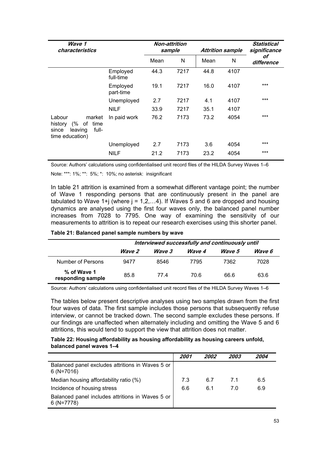<span id="page-59-0"></span>

| Wave 1<br>characteristics                                                                       |                       | Non-attrition<br>sample |      | <b>Attrition sample</b> |      | Statistical<br>significance |  |
|-------------------------------------------------------------------------------------------------|-----------------------|-------------------------|------|-------------------------|------|-----------------------------|--|
|                                                                                                 |                       | Mean                    | N    | Mean                    | N    | οf<br>difference            |  |
|                                                                                                 | Employed<br>full-time | 44.3                    | 7217 | 44.8                    | 4107 |                             |  |
|                                                                                                 | Employed<br>part-time | 19.1                    | 7217 | 16.0                    | 4107 | ***                         |  |
|                                                                                                 | Unemployed            | 2.7                     | 7217 | 4.1                     | 4107 | $***$                       |  |
|                                                                                                 | <b>NILF</b>           | 33.9                    | 7217 | 35.1                    | 4107 |                             |  |
| Labour<br>market<br>(%<br>history<br>of<br>time<br>full-<br>leaving<br>since<br>time education) | In paid work          | 76.2                    | 7173 | 73.2                    | 4054 | ***                         |  |
|                                                                                                 | Unemployed            | 2.7                     | 7173 | 3.6                     | 4054 | ***                         |  |
|                                                                                                 | <b>NILF</b>           | 21.2                    | 7173 | 23.2                    | 4054 | ***                         |  |

Source: Authors' calculations using confidentialised unit record files of the HILDA Survey Waves 1–6

Note: \*\*\*: 1%; \*\*: 5%; \*: 10%; no asterisk: insignificant

In table 21 attrition is examined from a somewhat different vantage point; the number of Wave 1 responding persons that are continuously present in the panel are tabulated to Wave  $1+j$  (where  $j = 1, 2, \ldots, 4$ ). If Waves 5 and 6 are dropped and housing dynamics are analysed using the first four waves only, the balanced panel number increases from 7028 to 7795. One way of examining the sensitivity of our measurements to attrition is to repeat our research exercises using this shorter panel.

#### **Table 21: Balanced panel sample numbers by wave**

|                                  | Interviewed successfully and continuously until |               |               |               |        |  |
|----------------------------------|-------------------------------------------------|---------------|---------------|---------------|--------|--|
|                                  | <i>Wave 2</i>                                   | <i>Wave 3</i> | <i>Wave 4</i> | <i>Wave</i> 5 | Wave 6 |  |
| Number of Persons                | 9477                                            | 8546          | 7795          | 7362          | 7028   |  |
| % of Wave 1<br>responding sample | 85.8                                            | 77 4          | 70.6          | 66.6          | 63.6   |  |

Source: Authors' calculations using confidentialised unit record files of the HILDA Survey Waves 1–6

The tables below present descriptive analyses using two samples drawn from the first four waves of data. The first sample includes those persons that subsequently refuse interview, or cannot be tracked down. The second sample excludes these persons. If our findings are unaffected when alternately including and omitting the Wave 5 and 6 attritions, this would tend to support the view that attrition does not matter.

#### **Table 22: Housing affordability as housing affordability as housing careers unfold, balanced panel waves 1–4**

|                                                                 | 2001 | <i><b>2002</b></i> | <i><b>2003</b></i> | 2004 |
|-----------------------------------------------------------------|------|--------------------|--------------------|------|
| Balanced panel excludes attritions in Waves 5 or<br>$6(N=7016)$ |      |                    |                    |      |
| Median housing affordability ratio (%)                          | 7.3  | 6.7                | 71                 | 6.5  |
| Incidence of housing stress                                     | 6.6  | 6.1                | 7.0                | 6.9  |
| Balanced panel includes attritions in Waves 5 or<br>$6(N=7778)$ |      |                    |                    |      |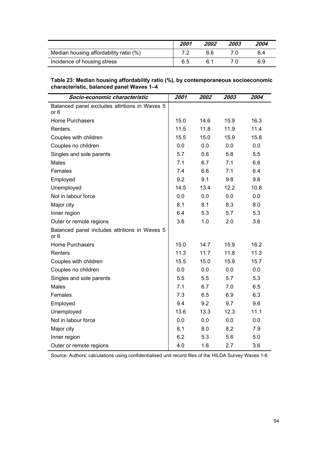<span id="page-60-0"></span>

|                                        | 2001 | <i><b>2002</b></i> | <i><b>2003</b></i> | 2004 |
|----------------------------------------|------|--------------------|--------------------|------|
| Median housing affordability ratio (%) |      | 66                 |                    | 6.4  |
| Incidence of housing stress            | 6.5  | ჩ 1                |                    | 6.9  |

| Table 23: Median housing affordability ratio (%), by contemporaneous socioeconomic |
|------------------------------------------------------------------------------------|
| characteristic, balanced panel Waves 1–4                                           |

| Socio-economic characteristic                                    | 2001 | 2002 | 2003 | 2004 |
|------------------------------------------------------------------|------|------|------|------|
| Balanced panel excludes attritions in Waves 5<br>or <sub>6</sub> |      |      |      |      |
| <b>Home Purchasers</b>                                           | 15.0 | 14.6 | 15.9 | 16.3 |
| Renters                                                          | 11.5 | 11.8 | 11.9 | 11.4 |
| Couples with children                                            | 15.5 | 15.0 | 15.9 | 15.8 |
| Couples no children                                              | 0.0  | 0.0  | 0.0  | 0.0  |
| Singles and sole parents                                         | 5.7  | 5.6  | 5.8  | 5.5  |
| Males                                                            | 7.1  | 6.7  | 7.1  | 6.6  |
| Females                                                          | 7.4  | 6.6  | 7.1  | 6.4  |
| Employed                                                         | 9.2  | 9.1  | 9.8  | 9.6  |
| Unemployed                                                       | 14.5 | 13.4 | 12.2 | 10.8 |
| Not in labour force                                              | 0.0  | 0.0  | 0.0  | 0.0  |
| Major city                                                       | 8.1  | 8.1  | 8.3  | 8.0  |
| Inner region                                                     | 6.4  | 5.3  | 5.7  | 5.3  |
| Outer or remote regions                                          | 3.6  | 1.0  | 2.0  | 3.6  |
| Balanced panel includes attritions in Waves 5<br>or 6            |      |      |      |      |
| Home Purchasers                                                  | 15.0 | 14.7 | 15.9 | 16.2 |
| Renters                                                          | 11.3 | 11.7 | 11.8 | 11.3 |
| Couples with children                                            | 15.5 | 15.0 | 15.9 | 15.7 |
| Couples no children                                              | 0.0  | 0.0  | 0.0  | 0.0  |
| Singles and sole parents                                         | 5.5  | 5.5  | 5.7  | 5.3  |
| <b>Males</b>                                                     | 7.1  | 6.7  | 7.0  | 6.5  |
| Females                                                          | 7.3  | 6.5  | 6.9  | 6.3  |
| Employed                                                         | 9.4  | 9.2  | 9.7  | 9.6  |
| Unemployed                                                       | 13.6 | 13.3 | 12.3 | 11.1 |
| Not in labour force                                              | 0.0  | 0.0  | 0.0  | 0.0  |
| Major city                                                       | 8.1  | 8.0  | 8.2  | 7.9  |
| Inner region                                                     | 6.2  | 5.3  | 5.6  | 5.0  |
| Outer or remote regions                                          | 4.0  | 1.6  | 2.7  | 3.6  |

Source: Authors' calculations using confidentialised unit record files of the HILDA Survey Waves 1-6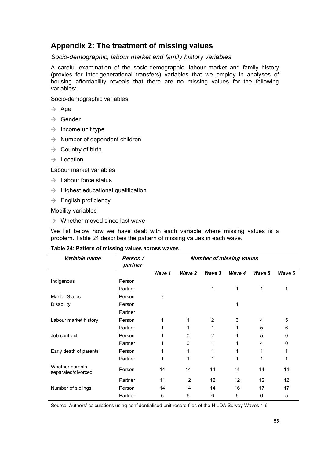## <span id="page-61-0"></span>**Appendix 2: The treatment of missing values**

*Socio-demographic, labour market and family history variables* 

A careful examination of the socio-demographic, labour market and family history (proxies for inter-generational transfers) variables that we employ in analyses of housing affordability reveals that there are no missing values for the following variables:

Socio-demographic variables

- $\rightarrow$  Age
- $\rightarrow$  Gender
- $\rightarrow$  Income unit type
- $\rightarrow$  Number of dependent children
- $\rightarrow$  Country of birth
- $\rightarrow$  Location

Labour market variables

- $\rightarrow$  Labour force status
- $\rightarrow$  Highest educational qualification
- $\rightarrow$  English proficiency

Mobility variables

 $\rightarrow$  Whether moved since last wave

We list below how we have dealt with each variable where missing values is a problem. Table 24 describes the pattern of missing values in each wave.

#### **Table 24: Pattern of missing values across waves**

| Variable name                         | Person /<br>partner | <b>Number of missing values</b> |          |                |        |        |        |
|---------------------------------------|---------------------|---------------------------------|----------|----------------|--------|--------|--------|
|                                       |                     | Wave 1                          | Wave 2   | Wave 3         | Wave 4 | Wave 5 | Wave 6 |
| Indigenous                            | Person              |                                 |          |                |        |        |        |
|                                       | Partner             |                                 |          | 1              | 1      | 1      |        |
| <b>Marital Status</b>                 | Person              | 7                               |          |                |        |        |        |
| <b>Disability</b>                     | Person              |                                 |          |                |        |        |        |
|                                       | Partner             |                                 |          |                |        |        |        |
| Labour market history                 | Person              | 1                               | 1        | 2              | 3      | 4      | 5      |
|                                       | Partner             | 1                               |          | 1              |        | 5      | 6      |
| Job contract                          | Person              |                                 | 0        | $\overline{2}$ |        | 5      | 0      |
|                                       | Partner             |                                 | $\Omega$ | 1              |        | 4      | 0      |
| Early death of parents                | Person              |                                 |          |                |        |        |        |
|                                       | Partner             | 1                               | 1        | 1              |        | 1      |        |
| Whether parents<br>separated/divorced | Person              | 14                              | 14       | 14             | 14     | 14     | 14     |
|                                       | Partner             | 11                              | 12       | 12             | 12     | 12     | 12     |
| Number of siblings                    | Person              | 14                              | 14       | 14             | 16     | 17     | 17     |
|                                       | Partner             | 6                               | 6        | 6              | 6      | 6      | 5      |

Source: Authors' calculations using confidentialised unit record files of the HILDA Survey Waves 1-6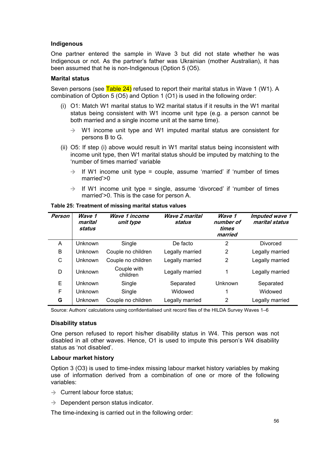#### <span id="page-62-0"></span>**Indigenous**

One partner entered the sample in Wave 3 but did not state whether he was Indigenous or not. As the partner's father was Ukrainian (mother Australian), it has been assumed that he is non-Indigenous (Option 5 (O5).

#### **Marital status**

Seven persons (see Table 24) refused to report their marital status in Wave 1 (W1). A combination of Option 5 (O5) and Option 1 (O1) is used in the following order:

- (i) O1: Match W1 marital status to W2 marital status if it results in the W1 marital status being consistent with W1 income unit type (e.g. a person cannot be both married and a single income unit at the same time).
	- $\rightarrow$  W1 income unit type and W1 imputed marital status are consistent for persons B to G.
- (ii) O5: If step (i) above would result in W1 marital status being inconsistent with income unit type, then W1 marital status should be imputed by matching to the 'number of times married' variable
	- $\rightarrow$  If W1 income unit type = couple, assume 'married' if 'number of times married'>0
	- $\rightarrow$  If W1 income unit type = single, assume 'divorced' if 'number of times married'>0. This is the case for person A.

| Person | Wave 1<br>marital<br>status | Wave 1 income<br>unit type | <b>Wave 2 marital</b><br>status | Wave 1<br>number of<br>times<br>married | Imputed wave 1<br>marital status |
|--------|-----------------------------|----------------------------|---------------------------------|-----------------------------------------|----------------------------------|
| A      | Unknown                     | Single                     | De facto                        | 2                                       | Divorced                         |
| B      | <b>Unknown</b>              | Couple no children         | Legally married                 | 2                                       | Legally married                  |
| C      | <b>Unknown</b>              | Couple no children         | Legally married                 | 2                                       | Legally married                  |
| D      | Unknown                     | Couple with<br>children    | Legally married                 | 1                                       | Legally married                  |
| E      | Unknown                     | Single                     | Separated                       | Unknown                                 | Separated                        |
| F      | <b>Unknown</b>              | Single                     | Widowed                         | 1                                       | Widowed                          |
| G      | Unknown                     | Couple no children         | Legally married                 | 2                                       | Legally married                  |

#### **Table 25: Treatment of missing marital status values**

Source: Authors' calculations using confidentialised unit record files of the HILDA Survey Waves 1–6

#### **Disability status**

One person refused to report his/her disability status in W4. This person was not disabled in all other waves. Hence, O1 is used to impute this person's W4 disability status as 'not disabled'.

#### **Labour market history**

Option 3 (O3) is used to time-index missing labour market history variables by making use of information derived from a combination of one or more of the following variables:

- $\rightarrow$  Current labour force status:
- $\rightarrow$  Dependent person status indicator.

The time-indexing is carried out in the following order: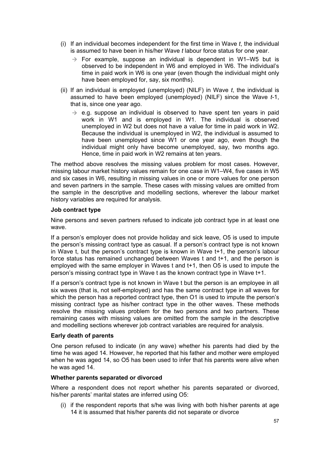- (i) If an individual becomes independent for the first time in Wave *t*, the individual is assumed to have been in his/her Wave *t* labour force status for one year.
	- $\rightarrow$  For example, suppose an individual is dependent in W1–W5 but is observed to be independent in W6 and employed in W6. The individual's time in paid work in W6 is one year (even though the individual might only have been employed for, say, six months).
- (ii) If an individual is employed (unemployed) (NILF) in Wave *t*, the individual is assumed to have been employed (unemployed) (NILF) since the Wave *t*-1, that is, since one year ago.
	- $\rightarrow$  e.g. suppose an individual is observed to have spent ten years in paid work in W1 and is employed in W1. The individual is observed unemployed in W2 but does not have a value for time in paid work in W2. Because the individual is unemployed in W2, the individual is assumed to have been unemployed since W1 or one year ago, even though the individual might only have become unemployed, say, two months ago. Hence, time in paid work in W2 remains at ten years.

The method above resolves the missing values problem for most cases. However, missing labour market history values remain for one case in W1–W4, five cases in W5 and six cases in W6, resulting in missing values in one or more values for one person and seven partners in the sample. These cases with missing values are omitted from the sample in the descriptive and modelling sections, wherever the labour market history variables are required for analysis.

#### **Job contract type**

Nine persons and seven partners refused to indicate job contract type in at least one wave.

If a person's employer does not provide holiday and sick leave, O5 is used to impute the person's missing contract type as casual. If a person's contract type is not known in Wave t, but the person's contract type is known in Wave t+1, the person's labour force status has remained unchanged between Waves t and t+1, and the person is employed with the same employer in Waves t and t+1, then O5 is used to impute the person's missing contract type in Wave t as the known contract type in Wave t+1.

If a person's contract type is not known in Wave t but the person is an employee in all six waves (that is, not self-employed) and has the same contract type in all waves for which the person has a reported contract type, then O1 is used to impute the person's missing contract type as his/her contract type in the other waves. These methods resolve the missing values problem for the two persons and two partners. These remaining cases with missing values are omitted from the sample in the descriptive and modelling sections wherever job contract variables are required for analysis.

#### **Early death of parents**

One person refused to indicate (in any wave) whether his parents had died by the time he was aged 14. However, he reported that his father and mother were employed when he was aged 14, so O5 has been used to infer that his parents were alive when he was aged 14.

#### **Whether parents separated or divorced**

Where a respondent does not report whether his parents separated or divorced, his/her parents' marital states are inferred using O5:

(i) if the respondent reports that s/he was living with both his/her parents at age 14 it is assumed that his/her parents did not separate or divorce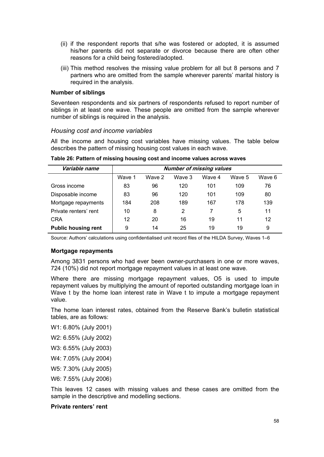- <span id="page-64-0"></span>(ii) if the respondent reports that s/he was fostered or adopted, it is assumed his/her parents did not separate or divorce because there are often other reasons for a child being fostered/adopted.
- (iii) This method resolves the missing value problem for all but 8 persons and 7 partners who are omitted from the sample wherever parents' marital history is required in the analysis.

#### **Number of siblings**

Seventeen respondents and six partners of respondents refused to report number of siblings in at least one wave. These people are omitted from the sample wherever number of siblings is required in the analysis.

#### *Housing cost and income variables*

All the income and housing cost variables have missing values. The table below describes the pattern of missing housing cost values in each wave.

| Variable name              | <b>Number of missing values</b> |        |        |        |        |        |
|----------------------------|---------------------------------|--------|--------|--------|--------|--------|
|                            | Wave 1                          | Wave 2 | Wave 3 | Wave 4 | Wave 5 | Wave 6 |
| Gross income               | 83                              | 96     | 120    | 101    | 109    | 76     |
| Disposable income          | 83                              | 96     | 120    | 101    | 109    | 80     |
| Mortgage repayments        | 184                             | 208    | 189    | 167    | 178    | 139    |
| Private renters' rent      | 10                              | 8      | 2      | 7      | 5      | 11     |
| <b>CRA</b>                 | 12                              | 20     | 16     | 19     | 11     | 12     |
| <b>Public housing rent</b> | 9                               | 14     | 25     | 19     | 19     | 9      |

**Table 26: Pattern of missing housing cost and income values across waves** 

Source: Authors' calculations using confidentialised unit record files of the HILDA Survey, Waves 1–6

#### **Mortgage repayments**

Among 3831 persons who had ever been owner-purchasers in one or more waves, 724 (10%) did not report mortgage repayment values in at least one wave.

Where there are missing mortgage repayment values, O5 is used to impute repayment values by multiplying the amount of reported outstanding mortgage loan in Wave t by the home loan interest rate in Wave t to impute a mortgage repayment value.

The home loan interest rates, obtained from the Reserve Bank's bulletin statistical tables, are as follows:

- W1: 6.80% (July 2001)
- W2: 6.55% (July 2002)
- W3: 6.55% (July 2003)
- W4: 7.05% (July 2004)
- W5: 7.30% (July 2005)

W6: 7.55% (July 2006)

This leaves 12 cases with missing values and these cases are omitted from the sample in the descriptive and modelling sections.

#### **Private renters' rent**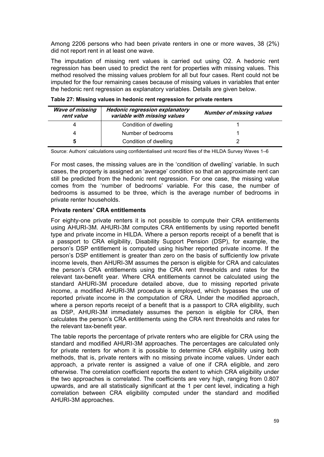<span id="page-65-0"></span>Among 2206 persons who had been private renters in one or more waves, 38 (2%) did not report rent in at least one wave.

The imputation of missing rent values is carried out using O2. A hedonic rent regression has been used to predict the rent for properties with missing values. This method resolved the missing values problem for all but four cases. Rent could not be imputed for the four remaining cases because of missing values in variables that enter the hedonic rent regression as explanatory variables. Details are given below.

| <b>Wave of missing</b><br>rent value | <b>Hedonic regression explanatory</b><br>variable with missing values | <b>Number of missing values</b> |
|--------------------------------------|-----------------------------------------------------------------------|---------------------------------|
|                                      | Condition of dwelling                                                 |                                 |
|                                      | Number of bedrooms                                                    |                                 |
| 5                                    | Condition of dwelling                                                 |                                 |

**Table 27: Missing values in hedonic rent regression for private renters** 

Source: Authors' calculations using confidentialised unit record files of the HILDA Survey Waves 1–6

For most cases, the missing values are in the 'condition of dwelling' variable. In such cases, the property is assigned an 'average' condition so that an approximate rent can still be predicted from the hedonic rent regression. For one case, the missing value comes from the 'number of bedrooms' variable. For this case, the number of bedrooms is assumed to be three, which is the average number of bedrooms in private renter households.

#### **Private renters' CRA entitlements**

For eighty-one private renters it is not possible to compute their CRA entitlements using AHURI-3M. AHURI-3M computes CRA entitlements by using reported benefit type and private income in HILDA. Where a person reports receipt of a benefit that is a passport to CRA eligibility, Disability Support Pension (DSP), for example, the person's DSP entitlement is computed using his/her reported private income. If the person's DSP entitlement is greater than zero on the basis of sufficiently low private income levels, then AHURI-3M assumes the person is eligible for CRA and calculates the person's CRA entitlements using the CRA rent thresholds and rates for the relevant tax-benefit year. Where CRA entitlements cannot be calculated using the standard AHURI-3M procedure detailed above, due to missing reported private income, a modified AHURI-3M procedure is employed, which bypasses the use of reported private income in the computation of CRA. Under the modified approach, where a person reports receipt of a benefit that is a passport to CRA eligibility, such as DSP, AHURI-3M immediately assumes the person is eligible for CRA, then calculates the person's CRA entitlements using the CRA rent thresholds and rates for the relevant tax-benefit year.

The table reports the percentage of private renters who are eligible for CRA using the standard and modified AHURI-3M approaches. The percentages are calculated only for private renters for whom it is possible to determine CRA eligibility using both methods, that is, private renters with no missing private income values. Under each approach, a private renter is assigned a value of one if CRA eligible, and zero otherwise. The correlation coefficient reports the extent to which CRA eligibility under the two approaches is correlated. The coefficients are very high, ranging from 0.807 upwards, and are all statistically significant at the 1 per cent level, indicating a high correlation between CRA eligibility computed under the standard and modified AHURI-3M approaches.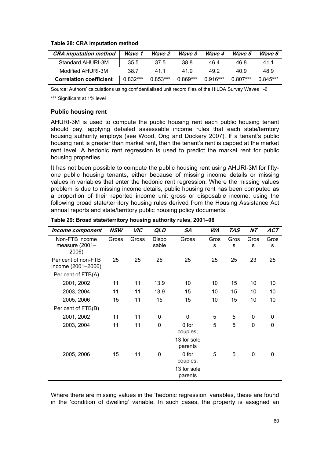#### <span id="page-66-0"></span>**Table 28: CRA imputation method**

| <b>CRA</b> imputation method   Wave 1 |          |            | Wave 2 Wave 3 | Wave 4   | Wave 5   | Wave 6     |
|---------------------------------------|----------|------------|---------------|----------|----------|------------|
| Standard AHURI-3M                     | 35.5     | 37.5       | 38.8          | 46.4     | 46.8     | 41.1       |
| Modified AHURI-3M                     | 38.7     | 41.1       | 41.9          | 49.2     | 40.9     | 48.9       |
| <b>Correlation coefficient</b>        | 0.832*** | $0.853***$ | $0.869***$    | 0.916*** | 0.807*** | $0.845***$ |

Source: Authors' calculations using confidentialised unit record files of the HILDA Survey Waves 1-6

\*\*\* Significant at 1% level

#### **Public housing rent**

AHURI-3M is used to compute the public housing rent each public housing tenant should pay, applying detailed assessable income rules that each state/territory housing authority employs (see Wood, Ong and Dockery 2007). If a tenant's public housing rent is greater than market rent, then the tenant's rent is capped at the market rent level. A hedonic rent regression is used to predict the market rent for public housing properties.

It has not been possible to compute the public housing rent using AHURI-3M for fiftyone public housing tenants, either because of missing income details or missing values in variables that enter the hedonic rent regression. Where the missing values problem is due to missing income details, public housing rent has been computed as a proportion of their reported income unit gross or disposable income, using the following broad state/territory housing rules derived from the Housing Assistance Act annual reports and state/territory public housing policy documents.

| Income component                          | NSW   | VIC   | QLD            | SA                     | WA        | <b>TAS</b> | <b>NT</b> | ACT         |
|-------------------------------------------|-------|-------|----------------|------------------------|-----------|------------|-----------|-------------|
| Non-FTB income<br>measure (2001-<br>2006) | Gross | Gross | Dispo<br>sable | Gross                  | Gros<br>s | Gros<br>s  | Gros<br>s | Gros<br>s   |
| Per cent of non-FTB<br>income (2001-2006) | 25    | 25    | 25             | 25                     | 25        | 25         | 23        | 25          |
| Per cent of FTB(A)                        |       |       |                |                        |           |            |           |             |
| 2001, 2002                                | 11    | 11    | 13.9           | 10                     | 10        | 15         | 10        | 10          |
| 2003, 2004                                | 11    | 11    | 13.9           | 15                     | 10        | 15         | 10        | 10          |
| 2005, 2006                                | 15    | 11    | 15             | 15                     | 10        | 15         | 10        | 10          |
| Per cent of FTB(B)                        |       |       |                |                        |           |            |           |             |
| 2001, 2002                                | 11    | 11    | 0              | $\mathbf 0$            | 5         | 5          | 0         | 0           |
| 2003, 2004                                | 11    | 11    | 0              | 0 for<br>couples;      | 5         | 5          | 0         | $\mathbf 0$ |
|                                           |       |       |                | 13 for sole<br>parents |           |            |           |             |
| 2005, 2006                                | 15    | 11    | 0              | 0 for<br>couples;      | 5         | 5          | 0         | 0           |
|                                           |       |       |                | 13 for sole<br>parents |           |            |           |             |

**Table 29: Broad state/territory housing authority rules, 2001–06** 

Where there are missing values in the 'hedonic regression' variables, these are found in the 'condition of dwelling' variable. In such cases, the property is assigned an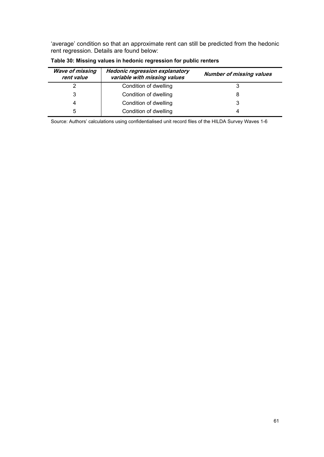<span id="page-67-0"></span>'average' condition so that an approximate rent can still be predicted from the hedonic rent regression. Details are found below:

| <b>Wave of missing</b><br>rent value | <b>Hedonic regression explanatory</b><br>variable with missing values | <b>Number of missing values</b> |  |  |  |  |
|--------------------------------------|-----------------------------------------------------------------------|---------------------------------|--|--|--|--|
|                                      | Condition of dwelling                                                 |                                 |  |  |  |  |
| 3                                    | Condition of dwelling                                                 | 8                               |  |  |  |  |
| 4                                    | Condition of dwelling                                                 | 3                               |  |  |  |  |
| 5                                    | Condition of dwelling                                                 | 4                               |  |  |  |  |

**Table 30: Missing values in hedonic regression for public renters** 

Source: Authors' calculations using confidentialised unit record files of the HILDA Survey Waves 1-6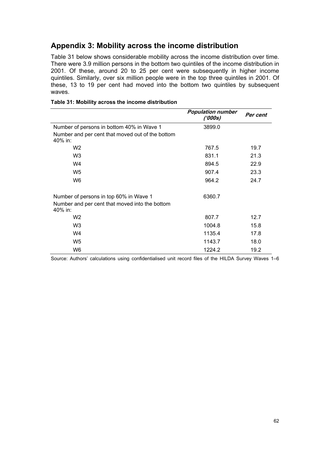## <span id="page-68-0"></span>**Appendix 3: Mobility across the income distribution**

Table 31 below shows considerable mobility across the income distribution over time. There were 3.9 million persons in the bottom two quintiles of the income distribution in 2001. Of these, around 20 to 25 per cent were subsequently in higher income quintiles. Similarly, over six million people were in the top three quintiles in 2001. Of these, 13 to 19 per cent had moved into the bottom two quintiles by subsequent waves.

|                                                                                                     | <b>Population number</b><br>('000s) | Per cent |
|-----------------------------------------------------------------------------------------------------|-------------------------------------|----------|
| Number of persons in bottom 40% in Wave 1                                                           | 3899.0                              |          |
| Number and per cent that moved out of the bottom<br>40% in:                                         |                                     |          |
| W <sub>2</sub>                                                                                      | 767.5                               | 19.7     |
| W <sub>3</sub>                                                                                      | 831.1                               | 21.3     |
| W4                                                                                                  | 894.5                               | 22.9     |
| W <sub>5</sub>                                                                                      | 907.4                               | 23.3     |
| W6                                                                                                  | 964.2                               | 24.7     |
| Number of persons in top 60% in Wave 1<br>Number and per cent that moved into the bottom<br>40% in: | 6360.7                              |          |
| W <sub>2</sub>                                                                                      | 807.7                               | 12.7     |
| W <sub>3</sub>                                                                                      | 1004.8                              | 15.8     |
| W4                                                                                                  | 1135.4                              | 17.8     |
| W <sub>5</sub>                                                                                      | 1143.7                              | 18.0     |
| W6                                                                                                  | 1224.2                              | 19.2     |

#### **Table 31: Mobility across the income distribution**

Source: Authors' calculations using confidentialised unit record files of the HILDA Survey Waves 1–6